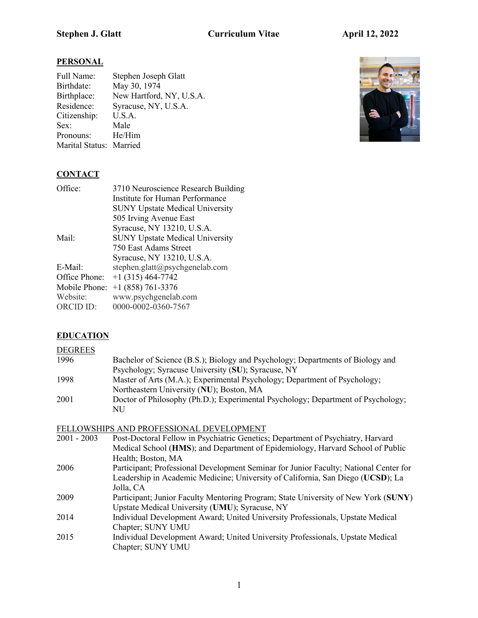# **PERSONAL**

| Full Name:              | Stephen Joseph Glatt     |
|-------------------------|--------------------------|
| Birthdate:              | May 30, 1974             |
| Birthplace:             | New Hartford, NY, U.S.A. |
| Residence:              | Syracuse, NY, U.S.A.     |
| Citizenship:            | U.S.A.                   |
| Sex:                    | Male                     |
| Pronouns:               | He/Him                   |
| Marital Status: Married |                          |



# **CONTACT**

| Office:       | 3710 Neuroscience Research Building    |
|---------------|----------------------------------------|
|               | Institute for Human Performance        |
|               | <b>SUNY Upstate Medical University</b> |
|               | 505 Irving Avenue East                 |
|               | Syracuse, NY 13210, U.S.A.             |
| Mail:         | <b>SUNY Upstate Medical University</b> |
|               | 750 East Adams Street                  |
|               | Syracuse, NY 13210, U.S.A.             |
| E-Mail:       | stephen.glatt@psychgenelab.com         |
| Office Phone: | $+1$ (315) 464-7742                    |
| Mobile Phone: | $+1$ (858) 761-3376                    |
| Website:      | www.psychgenelab.com                   |
| ORCID ID:     | 0000-0002-0360-7567                    |
|               |                                        |

# **EDUCATION**

## **DEGREES**

| 1996 | Bachelor of Science (B.S.); Biology and Psychology; Departments of Biology and   |
|------|----------------------------------------------------------------------------------|
|      | Psychology; Syracuse University (SU); Syracuse, NY                               |
| 1998 | Master of Arts (M.A.); Experimental Psychology; Department of Psychology;        |
|      | Northeastern University (NU); Boston, MA                                         |
| 2001 | Doctor of Philosophy (Ph.D.); Experimental Psychology; Department of Psychology; |
|      | NU                                                                               |

# FELLOWSHIPS AND PROFESSIONAL DEVELOPMENT

| $2001 - 2003$ | Post-Doctoral Fellow in Psychiatric Genetics; Department of Psychiatry, Harvard       |
|---------------|---------------------------------------------------------------------------------------|
|               | Medical School (HMS); and Department of Epidemiology, Harvard School of Public        |
|               | Health; Boston, MA                                                                    |
| 2006          | Participant; Professional Development Seminar for Junior Faculty; National Center for |
|               | Leadership in Academic Medicine; University of California, San Diego (UCSD); La       |
|               | Jolla, CA                                                                             |
| 2009          | Participant; Junior Faculty Mentoring Program; State University of New York (SUNY)    |
|               | Upstate Medical University (UMU); Syracuse, NY                                        |
| 2014          | Individual Development Award; United University Professionals, Upstate Medical        |
|               | Chapter; SUNY UMU                                                                     |
| 2015          | Individual Development Award; United University Professionals, Upstate Medical        |
|               | Chapter; SUNY UMU                                                                     |
|               |                                                                                       |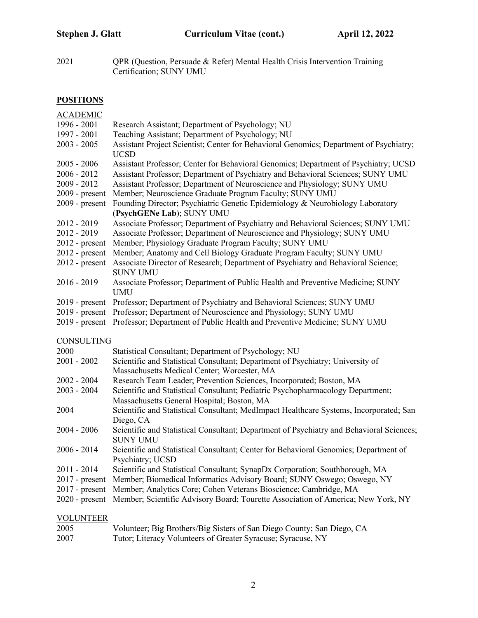2021 QPR (Question, Persuade & Refer) Mental Health Crisis Intervention Training Certification; SUNY UMU

# **POSITIONS**

| <b>ACADEMIC</b>   |                                                                                                     |
|-------------------|-----------------------------------------------------------------------------------------------------|
| 1996 - 2001       | Research Assistant; Department of Psychology; NU                                                    |
| 1997 - 2001       | Teaching Assistant; Department of Psychology; NU                                                    |
| $2003 - 2005$     | Assistant Project Scientist; Center for Behavioral Genomics; Department of Psychiatry;              |
|                   | <b>UCSD</b>                                                                                         |
| $2005 - 2006$     | Assistant Professor; Center for Behavioral Genomics; Department of Psychiatry; UCSD                 |
| $2006 - 2012$     | Assistant Professor; Department of Psychiatry and Behavioral Sciences; SUNY UMU                     |
| 2009 - 2012       | Assistant Professor; Department of Neuroscience and Physiology; SUNY UMU                            |
| $2009$ - present  | Member; Neuroscience Graduate Program Faculty; SUNY UMU                                             |
| $2009$ - present  | Founding Director; Psychiatric Genetic Epidemiology & Neurobiology Laboratory                       |
|                   | (PsychGENe Lab); SUNY UMU                                                                           |
| 2012 - 2019       | Associate Professor; Department of Psychiatry and Behavioral Sciences; SUNY UMU                     |
| 2012 - 2019       | Associate Professor; Department of Neuroscience and Physiology; SUNY UMU                            |
| $2012$ - present  | Member; Physiology Graduate Program Faculty; SUNY UMU                                               |
| $2012$ - present  | Member; Anatomy and Cell Biology Graduate Program Faculty; SUNY UMU                                 |
| $2012$ - present  | Associate Director of Research; Department of Psychiatry and Behavioral Science;<br><b>SUNY UMU</b> |
| $2016 - 2019$     | Associate Professor; Department of Public Health and Preventive Medicine; SUNY                      |
|                   | <b>UMU</b>                                                                                          |
|                   | 2019 - present Professor; Department of Psychiatry and Behavioral Sciences; SUNY UMU                |
|                   | 2019 - present Professor; Department of Neuroscience and Physiology; SUNY UMU                       |
|                   | 2019 - present Professor; Department of Public Health and Preventive Medicine; SUNY UMU             |
| <b>CONSULTING</b> |                                                                                                     |
| 2000              | Statistical Consultant; Department of Psychology; NU                                                |
| $2001 - 2002$     | Scientific and Statistical Consultant; Department of Psychiatry; University of                      |
|                   | Massachusetts Medical Center; Worcester, MA                                                         |
| $2002 - 2004$     | Research Team Leader; Prevention Sciences, Incorporated; Boston, MA                                 |
| $2003 - 2004$     | Scientific and Statistical Consultant; Pediatric Psychopharmacology Department;                     |
|                   | Massachusetts General Hospital; Boston, MA                                                          |
| 2004              | Scientific and Statistical Consultant; MedImpact Healthcare Systems, Incorporated; San              |
|                   | Diego, CA                                                                                           |
| $2004 - 2006$     | Scientific and Statistical Consultant; Department of Psychiatry and Behavioral Sciences;            |
|                   | <b>SUNY UMU</b>                                                                                     |
| $2006 - 2014$     | Scientific and Statistical Consultant; Center for Behavioral Genomics; Department of                |
|                   | Psychiatry; UCSD                                                                                    |
| 2011 - 2014       | Scientific and Statistical Consultant; SynapDx Corporation; Southborough, MA                        |
| $2017$ - present  | Member; Biomedical Informatics Advisory Board; SUNY Oswego; Oswego, NY                              |
| $2017$ - present  | Member; Analytics Core; Cohen Veterans Bioscience; Cambridge, MA                                    |
| $2020$ - present  | Member; Scientific Advisory Board; Tourette Association of America; New York, NY                    |
| <b>VOLUNTEER</b>  |                                                                                                     |
|                   |                                                                                                     |

| 2005 | Volunteer; Big Brothers/Big Sisters of San Diego County; San Diego, CA |
|------|------------------------------------------------------------------------|
| 2007 | Tutor; Literacy Volunteers of Greater Syracuse; Syracuse, NY           |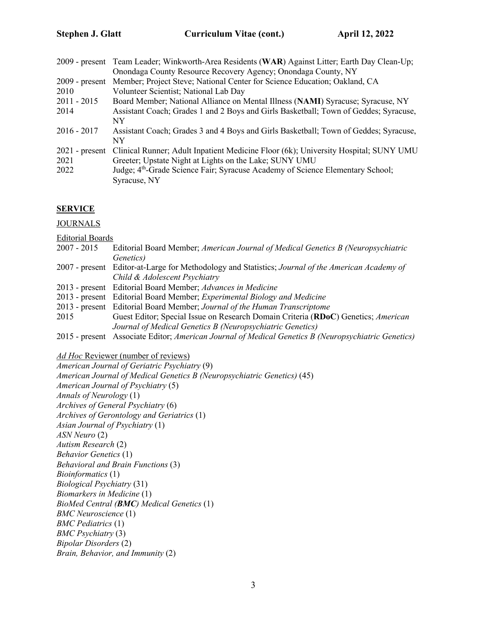|                  | 2009 - present Team Leader; Winkworth-Area Residents (WAR) Against Litter; Earth Day Clean-Up; |
|------------------|------------------------------------------------------------------------------------------------|
|                  | Onondaga County Resource Recovery Agency; Onondaga County, NY                                  |
| $2009$ - present | Member; Project Steve; National Center for Science Education; Oakland, CA                      |
| 2010             | Volunteer Scientist; National Lab Day                                                          |
| $2011 - 2015$    | Board Member; National Alliance on Mental Illness (NAMI) Syracuse; Syracuse, NY                |
| 2014             | Assistant Coach; Grades 1 and 2 Boys and Girls Basketball; Town of Geddes; Syracuse,           |
|                  | NY                                                                                             |
| $2016 - 2017$    | Assistant Coach; Grades 3 and 4 Boys and Girls Basketball; Town of Geddes; Syracuse,           |
|                  | NY                                                                                             |
| $2021$ - present | Clinical Runner; Adult Inpatient Medicine Floor (6k); University Hospital; SUNY UMU            |
| 2021             | Greeter; Upstate Night at Lights on the Lake; SUNY UMU                                         |
| 2022             | Judge; 4 <sup>th</sup> -Grade Science Fair; Syracuse Academy of Science Elementary School;     |
|                  | Syracuse, NY                                                                                   |
|                  |                                                                                                |

#### **SERVICE**

JOURNALS

Editorial Boards

- 2007 2015 Editorial Board Member; *American Journal of Medical Genetics B (Neuropsychiatric Genetics)*
- 2007 present Editor-at-Large for Methodology and Statistics; *Journal of the American Academy of Child & Adolescent Psychiatry*
- 2013 present Editorial Board Member; *Advances in Medicine*
- 2013 present Editorial Board Member; *Experimental Biology and Medicine*
- 2013 present Editorial Board Member; *Journal of the Human Transcriptome*
- 2015 Guest Editor; Special Issue on Research Domain Criteria (**RDoC**) Genetics; *American Journal of Medical Genetics B (Neuropsychiatric Genetics)*
- 2015 present Associate Editor; *American Journal of Medical Genetics B (Neuropsychiatric Genetics)*

#### *Ad Hoc* Reviewer (number of reviews)

*American Journal of Geriatric Psychiatry* (9) *American Journal of Medical Genetics B (Neuropsychiatric Genetics)* (45) *American Journal of Psychiatry* (5) *Annals of Neurology* (1) *Archives of General Psychiatry* (6) *Archives of Gerontology and Geriatrics* (1) *Asian Journal of Psychiatry* (1) *ASN Neuro* (2) *Autism Research* (2) *Behavior Genetics* (1) *Behavioral and Brain Functions* (3) *Bioinformatics* (1) *Biological Psychiatry* (31) *Biomarkers in Medicine* (1) *BioMed Central (BMC) Medical Genetics* (1) *BMC Neuroscience* (1) *BMC Pediatrics* (1) *BMC Psychiatry* (3) *Bipolar Disorders* (2) *Brain, Behavior, and Immunity* (2)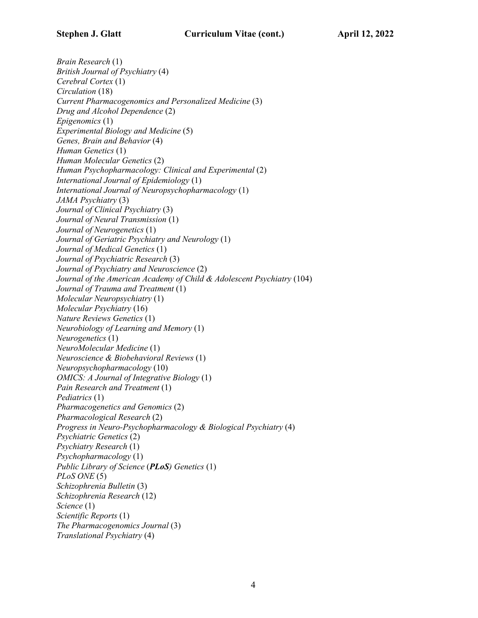*Brain Research* (1) *British Journal of Psychiatry* (4) *Cerebral Cortex* (1) *Circulation* (18) *Current Pharmacogenomics and Personalized Medicine* (3) *Drug and Alcohol Dependence* (2) *Epigenomics* (1) *Experimental Biology and Medicine* (5) *Genes, Brain and Behavior* (4)

*Human Genetics* (1) *Human Molecular Genetics* (2) *Human Psychopharmacology: Clinical and Experimental* (2) *International Journal of Epidemiology* (1) *International Journal of Neuropsychopharmacology* (1) *JAMA Psychiatry* (3) *Journal of Clinical Psychiatry* (3) *Journal of Neural Transmission* (1) *Journal of Neurogenetics* (1) *Journal of Geriatric Psychiatry and Neurology* (1) *Journal of Medical Genetics* (1) *Journal of Psychiatric Research* (3) *Journal of Psychiatry and Neuroscience* (2) *Journal of the American Academy of Child & Adolescent Psychiatry* (104) *Journal of Trauma and Treatment* (1) *Molecular Neuropsychiatry* (1) *Molecular Psychiatry* (16) *Nature Reviews Genetics* (1) *Neurobiology of Learning and Memory* (1) *Neurogenetics* (1) *NeuroMolecular Medicine* (1) *Neuroscience & Biobehavioral Reviews* (1) *Neuropsychopharmacology* (10) *OMICS: A Journal of Integrative Biology* (1) *Pain Research and Treatment* (1) *Pediatrics* (1) *Pharmacogenetics and Genomics* (2) *Pharmacological Research* (2) *Progress in Neuro-Psychopharmacology & Biological Psychiatry* (4) *Psychiatric Genetics* (2) *Psychiatry Research* (1) *Psychopharmacology* (1) *Public Library of Science* (*PLoS) Genetics* (1) *PLoS ONE* (5) *Schizophrenia Bulletin* (3) *Schizophrenia Research* (12) *Science* (1) *Scientific Reports* (1) *The Pharmacogenomics Journal* (3) *Translational Psychiatry* (4)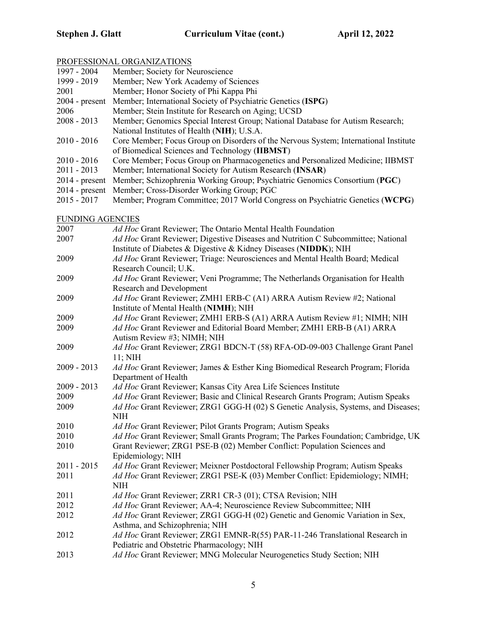# PROFESSIONAL ORGANIZATIONS

|                         | <i>I</i> ROI EBBIOTURE OROHUMENTIOTU                                                                                                                          |
|-------------------------|---------------------------------------------------------------------------------------------------------------------------------------------------------------|
| 1997 - 2004             | Member; Society for Neuroscience                                                                                                                              |
| 1999 - 2019             | Member; New York Academy of Sciences                                                                                                                          |
| 2001                    | Member; Honor Society of Phi Kappa Phi                                                                                                                        |
| $2004$ - present        | Member; International Society of Psychiatric Genetics (ISPG)                                                                                                  |
| 2006                    | Member; Stein Institute for Research on Aging; UCSD                                                                                                           |
| $2008 - 2013$           | Member; Genomics Special Interest Group; National Database for Autism Research;                                                                               |
|                         | National Institutes of Health (NIH); U.S.A.                                                                                                                   |
| $2010 - 2016$           | Core Member; Focus Group on Disorders of the Nervous System; International Institute                                                                          |
|                         | of Biomedical Sciences and Technology (IIBMST)                                                                                                                |
| $2010 - 2016$           | Core Member; Focus Group on Pharmacogenetics and Personalized Medicine; IIBMST                                                                                |
| $2011 - 2013$           | Member; International Society for Autism Research (INSAR)                                                                                                     |
| $2014$ - present        | Member; Schizophrenia Working Group; Psychiatric Genomics Consortium (PGC)                                                                                    |
| $2014$ - present        | Member; Cross-Disorder Working Group; PGC                                                                                                                     |
| $2015 - 2017$           | Member; Program Committee; 2017 World Congress on Psychiatric Genetics (WCPG)                                                                                 |
| <b>FUNDING AGENCIES</b> |                                                                                                                                                               |
| 2007                    | Ad Hoc Grant Reviewer; The Ontario Mental Health Foundation                                                                                                   |
| 2007                    | Ad Hoc Grant Reviewer; Digestive Diseases and Nutrition C Subcommittee; National                                                                              |
|                         | Institute of Diabetes & Digestive & Kidney Diseases (NIDDK); NIH                                                                                              |
| 2009                    | Ad Hoc Grant Reviewer; Triage: Neurosciences and Mental Health Board; Medical                                                                                 |
|                         | Research Council; U.K.                                                                                                                                        |
| 2009                    | Ad Hoc Grant Reviewer; Veni Programme; The Netherlands Organisation for Health                                                                                |
|                         | <b>Research and Development</b>                                                                                                                               |
| 2009                    | Ad Hoc Grant Reviewer; ZMH1 ERB-C (A1) ARRA Autism Review #2; National                                                                                        |
|                         | Institute of Mental Health (NIMH); NIH                                                                                                                        |
| 2009                    | Ad Hoc Grant Reviewer; ZMH1 ERB-S (A1) ARRA Autism Review #1; NIMH; NIH                                                                                       |
| 2009                    | Ad Hoc Grant Reviewer and Editorial Board Member; ZMH1 ERB-B (A1) ARRA                                                                                        |
|                         | Autism Review #3; NIMH; NIH                                                                                                                                   |
| 2009                    | Ad Hoc Grant Reviewer; ZRG1 BDCN-T (58) RFA-OD-09-003 Challenge Grant Panel                                                                                   |
|                         | $11;$ NIH                                                                                                                                                     |
| $2009 - 2013$           | Ad Hoc Grant Reviewer; James & Esther King Biomedical Research Program; Florida                                                                               |
|                         | Department of Health                                                                                                                                          |
| $2009 - 2013$           | Ad Hoc Grant Reviewer; Kansas City Area Life Sciences Institute                                                                                               |
| 2009                    | Ad Hoc Grant Reviewer; Basic and Clinical Research Grants Program; Autism Speaks                                                                              |
| 2009                    | Ad Hoc Grant Reviewer; ZRG1 GGG-H (02) S Genetic Analysis, Systems, and Diseases;                                                                             |
|                         | NIH                                                                                                                                                           |
| 2010<br>2010            | Ad Hoc Grant Reviewer; Pilot Grants Program; Autism Speaks                                                                                                    |
| 2010                    | Ad Hoc Grant Reviewer; Small Grants Program; The Parkes Foundation; Cambridge, UK<br>Grant Reviewer; ZRG1 PSE-B (02) Member Conflict: Population Sciences and |
|                         | Epidemiology; NIH                                                                                                                                             |
| $2011 - 2015$           | Ad Hoc Grant Reviewer; Meixner Postdoctoral Fellowship Program; Autism Speaks                                                                                 |
| 2011                    | Ad Hoc Grant Reviewer; ZRG1 PSE-K (03) Member Conflict: Epidemiology; NIMH;                                                                                   |
|                         | <b>NIH</b>                                                                                                                                                    |
| 2011                    | Ad Hoc Grant Reviewer; ZRR1 CR-3 (01); CTSA Revision; NIH                                                                                                     |
| 2012                    | Ad Hoc Grant Reviewer; AA-4; Neuroscience Review Subcommittee; NIH                                                                                            |
| 2012                    | Ad Hoc Grant Reviewer; ZRG1 GGG-H (02) Genetic and Genomic Variation in Sex,                                                                                  |
|                         | Asthma, and Schizophrenia; NIH                                                                                                                                |
| 2012                    | Ad Hoc Grant Reviewer; ZRG1 EMNR-R(55) PAR-11-246 Translational Research in                                                                                   |
|                         | Pediatric and Obstetric Pharmacology; NIH                                                                                                                     |
| 2013                    | Ad Hoc Grant Reviewer; MNG Molecular Neurogenetics Study Section; NIH                                                                                         |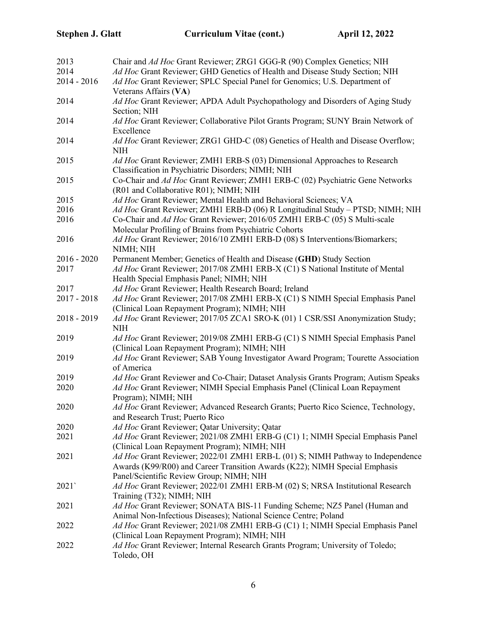| 2013<br>2014  | Chair and Ad Hoc Grant Reviewer; ZRG1 GGG-R (90) Complex Genetics; NIH<br>Ad Hoc Grant Reviewer; GHD Genetics of Health and Disease Study Section; NIH       |
|---------------|--------------------------------------------------------------------------------------------------------------------------------------------------------------|
| $2014 - 2016$ | Ad Hoc Grant Reviewer; SPLC Special Panel for Genomics; U.S. Department of<br>Veterans Affairs (VA)                                                          |
| 2014          | Ad Hoc Grant Reviewer; APDA Adult Psychopathology and Disorders of Aging Study                                                                               |
| 2014          | Section; NIH<br>Ad Hoc Grant Reviewer; Collaborative Pilot Grants Program; SUNY Brain Network of<br>Excellence                                               |
| 2014          | Ad Hoc Grant Reviewer; ZRG1 GHD-C (08) Genetics of Health and Disease Overflow;<br><b>NIH</b>                                                                |
| 2015          | Ad Hoc Grant Reviewer; ZMH1 ERB-S (03) Dimensional Approaches to Research<br>Classification in Psychiatric Disorders; NIMH; NIH                              |
| 2015          | Co-Chair and Ad Hoc Grant Reviewer; ZMH1 ERB-C (02) Psychiatric Gene Networks<br>(R01 and Collaborative R01); NIMH; NIH                                      |
| 2015          | Ad Hoc Grant Reviewer; Mental Health and Behavioral Sciences; VA                                                                                             |
| 2016          | Ad Hoc Grant Reviewer; ZMH1 ERB-D (06) R Longitudinal Study - PTSD; NIMH; NIH                                                                                |
| 2016          | Co-Chair and Ad Hoc Grant Reviewer; 2016/05 ZMH1 ERB-C (05) S Multi-scale<br>Molecular Profiling of Brains from Psychiatric Cohorts                          |
|               |                                                                                                                                                              |
| 2016          | Ad Hoc Grant Reviewer; 2016/10 ZMH1 ERB-D (08) S Interventions/Biomarkers;<br>NIMH; NIH                                                                      |
| $2016 - 2020$ | Permanent Member; Genetics of Health and Disease (GHD) Study Section                                                                                         |
| 2017          | Ad Hoc Grant Reviewer; 2017/08 ZMH1 ERB-X (C1) S National Institute of Mental<br>Health Special Emphasis Panel; NIMH; NIH                                    |
| 2017          | Ad Hoc Grant Reviewer; Health Research Board; Ireland                                                                                                        |
| $2017 - 2018$ | Ad Hoc Grant Reviewer; 2017/08 ZMH1 ERB-X (C1) S NIMH Special Emphasis Panel<br>(Clinical Loan Repayment Program); NIMH; NIH                                 |
| $2018 - 2019$ | Ad Hoc Grant Reviewer; 2017/05 ZCA1 SRO-K (01) 1 CSR/SSI Anonymization Study;<br><b>NIH</b>                                                                  |
| 2019          | Ad Hoc Grant Reviewer; 2019/08 ZMH1 ERB-G (C1) S NIMH Special Emphasis Panel<br>(Clinical Loan Repayment Program); NIMH; NIH                                 |
| 2019          | Ad Hoc Grant Reviewer; SAB Young Investigator Award Program; Tourette Association<br>of America                                                              |
| 2019          | Ad Hoc Grant Reviewer and Co-Chair; Dataset Analysis Grants Program; Autism Speaks                                                                           |
| 2020          | Ad Hoc Grant Reviewer; NIMH Special Emphasis Panel (Clinical Loan Repayment<br>Program); NIMH; NIH                                                           |
| 2020          | Ad Hoc Grant Reviewer; Advanced Research Grants; Puerto Rico Science, Technology,<br>and Research Trust; Puerto Rico                                         |
| 2020          | Ad Hoc Grant Reviewer; Qatar University; Qatar                                                                                                               |
| 2021          | Ad Hoc Grant Reviewer; 2021/08 ZMH1 ERB-G (C1) 1; NIMH Special Emphasis Panel                                                                                |
|               | (Clinical Loan Repayment Program); NIMH; NIH                                                                                                                 |
| 2021          | Ad Hoc Grant Reviewer; 2022/01 ZMH1 ERB-L (01) S; NIMH Pathway to Independence<br>Awards (K99/R00) and Career Transition Awards (K22); NIMH Special Emphasis |
|               | Panel/Scientific Review Group; NIMH; NIH                                                                                                                     |
| 2021`         | Ad Hoc Grant Reviewer; 2022/01 ZMH1 ERB-M (02) S; NRSA Institutional Research                                                                                |
|               | Training (T32); NIMH; NIH                                                                                                                                    |
| 2021          | Ad Hoc Grant Reviewer; SONATA BIS-11 Funding Scheme; NZ5 Panel (Human and                                                                                    |
|               | Animal Non-Infectious Diseases); National Science Centre; Poland                                                                                             |
| 2022          | Ad Hoc Grant Reviewer; 2021/08 ZMH1 ERB-G (C1) 1; NIMH Special Emphasis Panel<br>(Clinical Loan Repayment Program); NIMH; NIH                                |
| 2022          | Ad Hoc Grant Reviewer; Internal Research Grants Program; University of Toledo;<br>Toledo, OH                                                                 |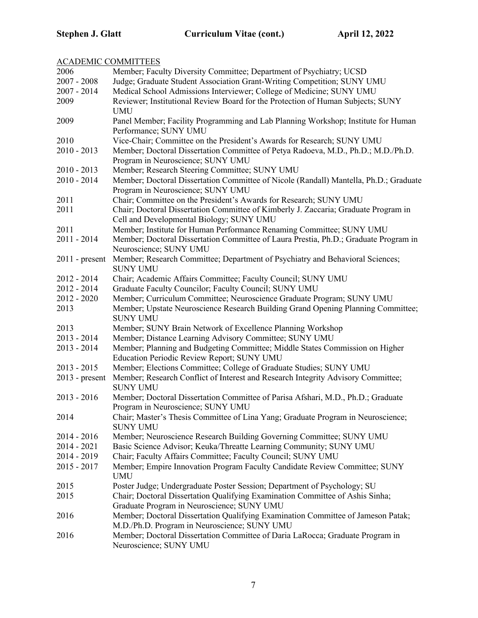| <b>ACADEMIC COMMITTEES</b> |                                                                                                                                  |
|----------------------------|----------------------------------------------------------------------------------------------------------------------------------|
| 2006                       | Member; Faculty Diversity Committee; Department of Psychiatry; UCSD                                                              |
| $2007 - 2008$              | Judge; Graduate Student Association Grant-Writing Competition; SUNY UMU                                                          |
| 2007 - 2014                | Medical School Admissions Interviewer; College of Medicine; SUNY UMU                                                             |
| 2009                       | Reviewer; Institutional Review Board for the Protection of Human Subjects; SUNY<br><b>UMU</b>                                    |
| 2009                       | Panel Member; Facility Programming and Lab Planning Workshop; Institute for Human<br>Performance; SUNY UMU                       |
| 2010                       | Vice-Chair; Committee on the President's Awards for Research; SUNY UMU                                                           |
| $2010 - 2013$              | Member; Doctoral Dissertation Committee of Petya Radoeva, M.D., Ph.D.; M.D./Ph.D.                                                |
|                            | Program in Neuroscience; SUNY UMU                                                                                                |
| $2010 - 2013$              | Member; Research Steering Committee; SUNY UMU                                                                                    |
| 2010 - 2014                | Member; Doctoral Dissertation Committee of Nicole (Randall) Mantella, Ph.D.; Graduate                                            |
|                            | Program in Neuroscience; SUNY UMU                                                                                                |
| 2011                       | Chair; Committee on the President's Awards for Research; SUNY UMU                                                                |
| 2011                       | Chair; Doctoral Dissertation Committee of Kimberly J. Zaccaria; Graduate Program in                                              |
|                            | Cell and Developmental Biology; SUNY UMU                                                                                         |
| 2011                       | Member; Institute for Human Performance Renaming Committee; SUNY UMU                                                             |
| 2011 - 2014                | Member; Doctoral Dissertation Committee of Laura Prestia, Ph.D.; Graduate Program in                                             |
|                            | Neuroscience; SUNY UMU                                                                                                           |
| $2011$ - present           | Member; Research Committee; Department of Psychiatry and Behavioral Sciences;                                                    |
|                            | <b>SUNY UMU</b>                                                                                                                  |
| 2012 - 2014                | Chair; Academic Affairs Committee; Faculty Council; SUNY UMU                                                                     |
| 2012 - 2014                | Graduate Faculty Councilor; Faculty Council; SUNY UMU                                                                            |
| 2012 - 2020                | Member; Curriculum Committee; Neuroscience Graduate Program; SUNY UMU                                                            |
| 2013                       | Member; Upstate Neuroscience Research Building Grand Opening Planning Committee;<br><b>SUNY UMU</b>                              |
| 2013                       | Member; SUNY Brain Network of Excellence Planning Workshop                                                                       |
| 2013 - 2014                | Member; Distance Learning Advisory Committee; SUNY UMU                                                                           |
| 2013 - 2014                | Member; Planning and Budgeting Committee; Middle States Commission on Higher<br>Education Periodic Review Report; SUNY UMU       |
| $2013 - 2015$              | Member; Elections Committee; College of Graduate Studies; SUNY UMU                                                               |
| $2013$ - present           | Member; Research Conflict of Interest and Research Integrity Advisory Committee;<br><b>SUNY UMU</b>                              |
| $2013 - 2016$              | Member; Doctoral Dissertation Committee of Parisa Afshari, M.D., Ph.D.; Graduate<br>Program in Neuroscience; SUNY UMU            |
| 2014                       | Chair; Master's Thesis Committee of Lina Yang; Graduate Program in Neuroscience;<br><b>SUNY UMU</b>                              |
| 2014 - 2016                | Member; Neuroscience Research Building Governing Committee; SUNY UMU                                                             |
| $2014 - 2021$              | Basic Science Advisor; Keuka/Threatte Learning Community; SUNY UMU                                                               |
| 2014 - 2019                | Chair; Faculty Affairs Committee; Faculty Council; SUNY UMU                                                                      |
| $2015 - 2017$              | Member; Empire Innovation Program Faculty Candidate Review Committee; SUNY<br><b>UMU</b>                                         |
| 2015                       | Poster Judge; Undergraduate Poster Session; Department of Psychology; SU                                                         |
| 2015                       | Chair; Doctoral Dissertation Qualifying Examination Committee of Ashis Sinha;<br>Graduate Program in Neuroscience; SUNY UMU      |
| 2016                       | Member; Doctoral Dissertation Qualifying Examination Committee of Jameson Patak;<br>M.D./Ph.D. Program in Neuroscience; SUNY UMU |
| 2016                       | Member; Doctoral Dissertation Committee of Daria LaRocca; Graduate Program in<br>Neuroscience; SUNY UMU                          |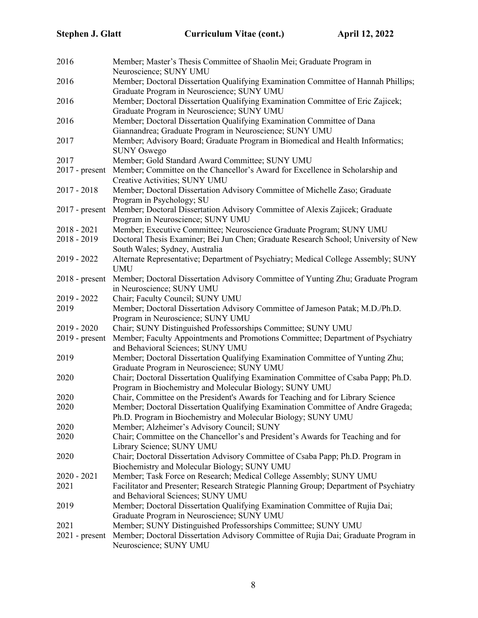| 2016             | Member; Master's Thesis Committee of Shaolin Mei; Graduate Program in<br>Neuroscience; SUNY UMU                                               |
|------------------|-----------------------------------------------------------------------------------------------------------------------------------------------|
| 2016             | Member; Doctoral Dissertation Qualifying Examination Committee of Hannah Phillips;                                                            |
|                  | Graduate Program in Neuroscience; SUNY UMU                                                                                                    |
| 2016             | Member; Doctoral Dissertation Qualifying Examination Committee of Eric Zajicek;<br>Graduate Program in Neuroscience; SUNY UMU                 |
| 2016             | Member; Doctoral Dissertation Qualifying Examination Committee of Dana                                                                        |
|                  | Giannandrea; Graduate Program in Neuroscience; SUNY UMU                                                                                       |
| 2017             | Member; Advisory Board; Graduate Program in Biomedical and Health Informatics;                                                                |
|                  | <b>SUNY Oswego</b>                                                                                                                            |
| 2017             | Member; Gold Standard Award Committee; SUNY UMU                                                                                               |
| $2017$ - present | Member; Committee on the Chancellor's Award for Excellence in Scholarship and                                                                 |
|                  | Creative Activities; SUNY UMU                                                                                                                 |
| 2017 - 2018      | Member; Doctoral Dissertation Advisory Committee of Michelle Zaso; Graduate                                                                   |
|                  | Program in Psychology; SU                                                                                                                     |
| $2017$ - present | Member; Doctoral Dissertation Advisory Committee of Alexis Zajicek; Graduate                                                                  |
|                  | Program in Neuroscience; SUNY UMU                                                                                                             |
| 2018 - 2021      | Member; Executive Committee; Neuroscience Graduate Program; SUNY UMU                                                                          |
| 2018 - 2019      | Doctoral Thesis Examiner; Bei Jun Chen; Graduate Research School; University of New                                                           |
|                  | South Wales; Sydney, Australia                                                                                                                |
| 2019 - 2022      | Alternate Representative; Department of Psychiatry; Medical College Assembly; SUNY<br><b>UMU</b>                                              |
| $2018$ - present | Member; Doctoral Dissertation Advisory Committee of Yunting Zhu; Graduate Program                                                             |
|                  | in Neuroscience; SUNY UMU                                                                                                                     |
| 2019 - 2022      | Chair; Faculty Council; SUNY UMU                                                                                                              |
| 2019             | Member; Doctoral Dissertation Advisory Committee of Jameson Patak; M.D./Ph.D.<br>Program in Neuroscience; SUNY UMU                            |
| 2019 - 2020      | Chair; SUNY Distinguished Professorships Committee; SUNY UMU                                                                                  |
| $2019$ - present | Member; Faculty Appointments and Promotions Committee; Department of Psychiatry                                                               |
|                  | and Behavioral Sciences; SUNY UMU                                                                                                             |
| 2019             | Member; Doctoral Dissertation Qualifying Examination Committee of Yunting Zhu;<br>Graduate Program in Neuroscience; SUNY UMU                  |
| 2020             | Chair; Doctoral Dissertation Qualifying Examination Committee of Csaba Papp; Ph.D.<br>Program in Biochemistry and Molecular Biology; SUNY UMU |
| 2020             | Chair, Committee on the President's Awards for Teaching and for Library Science                                                               |
| 2020             | Member; Doctoral Dissertation Qualifying Examination Committee of Andre Grageda;                                                              |
|                  | Ph.D. Program in Biochemistry and Molecular Biology; SUNY UMU                                                                                 |
| 2020             | Member; Alzheimer's Advisory Council; SUNY                                                                                                    |
| 2020             | Chair; Committee on the Chancellor's and President's Awards for Teaching and for                                                              |
|                  | Library Science; SUNY UMU                                                                                                                     |
| 2020             | Chair; Doctoral Dissertation Advisory Committee of Csaba Papp; Ph.D. Program in                                                               |
|                  | Biochemistry and Molecular Biology; SUNY UMU                                                                                                  |
| 2020 - 2021      | Member; Task Force on Research; Medical College Assembly; SUNY UMU                                                                            |
| 2021             | Facilitator and Presenter; Research Strategic Planning Group; Department of Psychiatry                                                        |
|                  | and Behavioral Sciences; SUNY UMU                                                                                                             |
| 2019             | Member; Doctoral Dissertation Qualifying Examination Committee of Rujia Dai;                                                                  |
|                  | Graduate Program in Neuroscience; SUNY UMU                                                                                                    |
| 2021             | Member; SUNY Distinguished Professorships Committee; SUNY UMU                                                                                 |
| $2021$ - present | Member; Doctoral Dissertation Advisory Committee of Rujia Dai; Graduate Program in<br>Neuroscience; SUNY UMU                                  |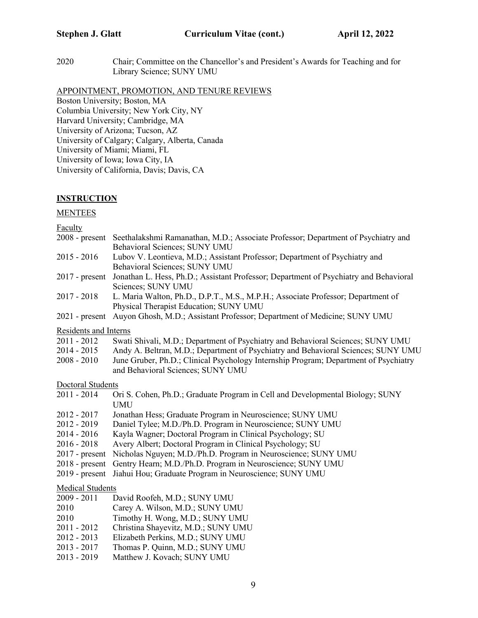2020 Chair; Committee on the Chancellor's and President's Awards for Teaching and for Library Science; SUNY UMU

APPOINTMENT, PROMOTION, AND TENURE REVIEWS

Boston University; Boston, MA Columbia University; New York City, NY Harvard University; Cambridge, MA University of Arizona; Tucson, AZ University of Calgary; Calgary, Alberta, Canada University of Miami; Miami, FL University of Iowa; Iowa City, IA University of California, Davis; Davis, CA

### **INSTRUCTION**

#### **MENTEES**

**Faculty** 

|                                | 2008 - present Seethalakshmi Ramanathan, M.D.; Associate Professor; Department of Psychiatry and<br>Behavioral Sciences; SUNY UMU                                                                              |  |
|--------------------------------|----------------------------------------------------------------------------------------------------------------------------------------------------------------------------------------------------------------|--|
| $2015 - 2016$                  | Lubov V. Leontieva, M.D.; Assistant Professor; Department of Psychiatry and<br>Behavioral Sciences; SUNY UMU                                                                                                   |  |
| $2017$ - present               | Jonathan L. Hess, Ph.D.; Assistant Professor; Department of Psychiatry and Behavioral<br>Sciences; SUNY UMU                                                                                                    |  |
| $2017 - 2018$                  | L. Maria Walton, Ph.D., D.P.T., M.S., M.P.H.; Associate Professor; Department of<br>Physical Therapist Education; SUNY UMU                                                                                     |  |
|                                | 2021 - present Auyon Ghosh, M.D.; Assistant Professor; Department of Medicine; SUNY UMU                                                                                                                        |  |
| <b>Residents and Interns</b>   |                                                                                                                                                                                                                |  |
| $2011 - 2012$                  | Swati Shivali, M.D.; Department of Psychiatry and Behavioral Sciences; SUNY UMU                                                                                                                                |  |
| $2014 - 2015$<br>$2008 - 2010$ | Andy A. Beltran, M.D.; Department of Psychiatry and Behavioral Sciences; SUNY UMU<br>June Gruber, Ph.D.; Clinical Psychology Internship Program; Department of Psychiatry<br>and Behavioral Sciences; SUNY UMU |  |
| Doctoral Students              |                                                                                                                                                                                                                |  |
| $2011 - 2014$                  | Ori S. Cohen, Ph.D.; Graduate Program in Cell and Developmental Biology; SUNY<br><b>UMU</b>                                                                                                                    |  |
| $2012 - 2017$                  | Jonathan Hess; Graduate Program in Neuroscience; SUNY UMU                                                                                                                                                      |  |
| $2012 - 2019$                  | Daniel Tylee; M.D./Ph.D. Program in Neuroscience; SUNY UMU                                                                                                                                                     |  |
| $2014 - 2016$                  | Kayla Wagner; Doctoral Program in Clinical Psychology; SU                                                                                                                                                      |  |
| $2016 - 2018$                  | Avery Albert; Doctoral Program in Clinical Psychology; SU                                                                                                                                                      |  |
| $2017$ - present               | Nicholas Nguyen; M.D./Ph.D. Program in Neuroscience; SUNY UMU                                                                                                                                                  |  |
| $2018$ - present               | Gentry Hearn; M.D./Ph.D. Program in Neuroscience; SUNY UMU                                                                                                                                                     |  |
| $2019$ - present               | Jiahui Hou; Graduate Program in Neuroscience; SUNY UMU                                                                                                                                                         |  |
| <b>Medical Students</b>        |                                                                                                                                                                                                                |  |
| $2009 - 2011$                  | David Roofeh, M.D.; SUNY UMU                                                                                                                                                                                   |  |
| 2010                           | Carey A. Wilson, M.D.; SUNY UMU                                                                                                                                                                                |  |
| 2010                           | Timothy H. Wong, M.D.; SUNY UMU                                                                                                                                                                                |  |
| $2011 - 2012$                  | Christina Shayevitz, M.D.; SUNY UMU                                                                                                                                                                            |  |
| $2012 - 2013$                  | Elizabeth Perkins, M.D.; SUNY UMU                                                                                                                                                                              |  |
| $2013 - 2017$                  | Thomas P. Quinn, M.D.; SUNY UMU                                                                                                                                                                                |  |
| $2013 - 2019$                  | Matthew J. Kovach; SUNY UMU                                                                                                                                                                                    |  |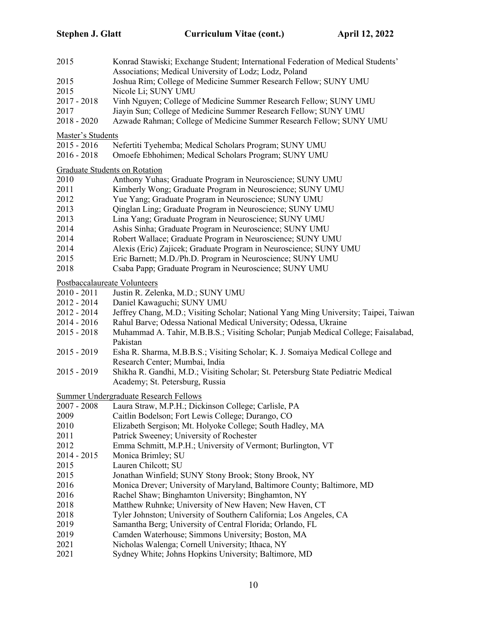| 2015                                 | Konrad Stawiski; Exchange Student; International Federation of Medical Students'<br>Associations; Medical University of Lodz; Lodz, Poland |  |  |  |  |
|--------------------------------------|--------------------------------------------------------------------------------------------------------------------------------------------|--|--|--|--|
| 2015                                 | Joshua Rim; College of Medicine Summer Research Fellow; SUNY UMU                                                                           |  |  |  |  |
| 2015                                 | Nicole Li; SUNY UMU                                                                                                                        |  |  |  |  |
| $2017 - 2018$                        | Vinh Nguyen; College of Medicine Summer Research Fellow; SUNY UMU                                                                          |  |  |  |  |
| 2017                                 | Jiayin Sun; College of Medicine Summer Research Fellow; SUNY UMU                                                                           |  |  |  |  |
| $2018 - 2020$                        | Azwade Rahman; College of Medicine Summer Research Fellow; SUNY UMU                                                                        |  |  |  |  |
| Master's Students                    |                                                                                                                                            |  |  |  |  |
| $2015 - 2016$                        | Nefertiti Tyehemba; Medical Scholars Program; SUNY UMU                                                                                     |  |  |  |  |
| $2016 - 2018$                        | Omoefe Ebhohimen; Medical Scholars Program; SUNY UMU                                                                                       |  |  |  |  |
| <b>Graduate Students on Rotation</b> |                                                                                                                                            |  |  |  |  |
| 2010                                 | Anthony Yuhas; Graduate Program in Neuroscience; SUNY UMU                                                                                  |  |  |  |  |
| 2011                                 | Kimberly Wong; Graduate Program in Neuroscience; SUNY UMU                                                                                  |  |  |  |  |
| 2012                                 | Yue Yang; Graduate Program in Neuroscience; SUNY UMU                                                                                       |  |  |  |  |
| 2013                                 | Qinglan Ling; Graduate Program in Neuroscience; SUNY UMU                                                                                   |  |  |  |  |
| 2013                                 | Lina Yang; Graduate Program in Neuroscience; SUNY UMU                                                                                      |  |  |  |  |
| 2014                                 | Ashis Sinha; Graduate Program in Neuroscience; SUNY UMU                                                                                    |  |  |  |  |
| 2014                                 | Robert Wallace; Graduate Program in Neuroscience; SUNY UMU                                                                                 |  |  |  |  |
| 2014                                 | Alexis (Eric) Zajicek; Graduate Program in Neuroscience; SUNY UMU                                                                          |  |  |  |  |
| 2015                                 | Eric Barnett; M.D./Ph.D. Program in Neuroscience; SUNY UMU                                                                                 |  |  |  |  |
| 2018                                 | Csaba Papp; Graduate Program in Neuroscience; SUNY UMU                                                                                     |  |  |  |  |
| Postbaccalaureate Volunteers         |                                                                                                                                            |  |  |  |  |
| $2010 - 2011$                        | Justin R. Zelenka, M.D.; SUNY UMU                                                                                                          |  |  |  |  |
| 2012 - 2014                          | Daniel Kawaguchi; SUNY UMU                                                                                                                 |  |  |  |  |
| 2012 - 2014                          | Jeffrey Chang, M.D.; Visiting Scholar; National Yang Ming University; Taipei, Taiwan                                                       |  |  |  |  |
| 2014 - 2016                          | Rahul Barve; Odessa National Medical University; Odessa, Ukraine                                                                           |  |  |  |  |
| $2015 - 2018$                        | Muhammad A. Tahir, M.B.B.S.; Visiting Scholar; Punjab Medical College; Faisalabad,<br>Pakistan                                             |  |  |  |  |
| $2015 - 2019$                        | Esha R. Sharma, M.B.B.S.; Visiting Scholar; K. J. Somaiya Medical College and                                                              |  |  |  |  |
|                                      | Research Center; Mumbai, India                                                                                                             |  |  |  |  |
| $2015 - 2019$                        | Shikha R. Gandhi, M.D.; Visiting Scholar; St. Petersburg State Pediatric Medical                                                           |  |  |  |  |
|                                      | Academy; St. Petersburg, Russia                                                                                                            |  |  |  |  |
|                                      | <b>Summer Undergraduate Research Fellows</b>                                                                                               |  |  |  |  |
|                                      | 2007 - 2008 Laura Straw, M.P.H.; Dickinson College; Carlisle, PA                                                                           |  |  |  |  |
| 2009                                 | Caitlin Bodelson; Fort Lewis College; Durango, CO                                                                                          |  |  |  |  |
| 2010                                 | Elizabeth Sergison; Mt. Holyoke College; South Hadley, MA                                                                                  |  |  |  |  |
| 2011                                 | Patrick Sweeney; University of Rochester                                                                                                   |  |  |  |  |
| 2012                                 | Emma Schmitt, M.P.H.; University of Vermont; Burlington, VT                                                                                |  |  |  |  |
| 2014 - 2015                          | Monica Brimley; SU                                                                                                                         |  |  |  |  |
| 2015                                 | Lauren Chilcott; SU                                                                                                                        |  |  |  |  |
| 2015                                 | Jonathan Winfield; SUNY Stony Brook; Stony Brook, NY                                                                                       |  |  |  |  |
| 2016                                 | Monica Drever; University of Maryland, Baltimore County; Baltimore, MD                                                                     |  |  |  |  |
| 2016                                 | Rachel Shaw; Binghamton University; Binghamton, NY                                                                                         |  |  |  |  |
| 2018                                 | Matthew Ruhnke; University of New Haven; New Haven, CT                                                                                     |  |  |  |  |
| 2018                                 | Tyler Johnston; University of Southern California; Los Angeles, CA                                                                         |  |  |  |  |
| 2019                                 | Samantha Berg; University of Central Florida; Orlando, FL                                                                                  |  |  |  |  |
| 2019                                 | Camden Waterhouse; Simmons University; Boston, MA                                                                                          |  |  |  |  |
| 2021                                 | Nicholas Walenga; Cornell University; Ithaca, NY                                                                                           |  |  |  |  |
| 2021                                 | Sydney White; Johns Hopkins University; Baltimore, MD                                                                                      |  |  |  |  |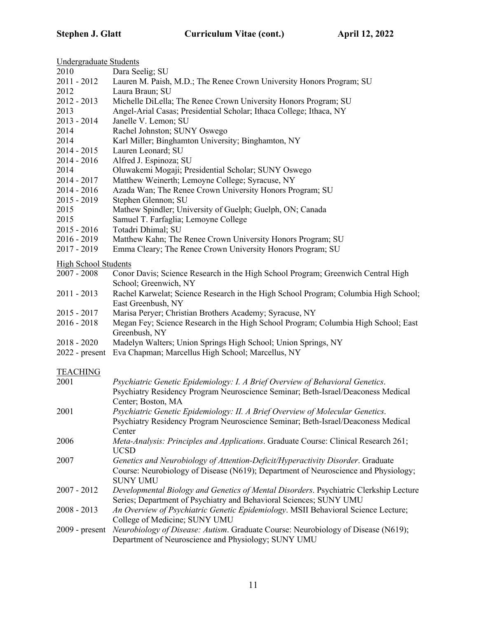| Undergraduate Students      |                                                                                                                    |
|-----------------------------|--------------------------------------------------------------------------------------------------------------------|
| 2010                        | Dara Seelig; SU                                                                                                    |
| 2011 - 2012                 | Lauren M. Paish, M.D.; The Renee Crown University Honors Program; SU                                               |
| 2012                        | Laura Braun; SU                                                                                                    |
| $2012 - 2013$               | Michelle DiLella; The Renee Crown University Honors Program; SU                                                    |
| 2013                        | Angel-Arial Casas; Presidential Scholar; Ithaca College; Ithaca, NY                                                |
| $2013 - 2014$               | Janelle V. Lemon; SU                                                                                               |
| 2014                        | Rachel Johnston; SUNY Oswego                                                                                       |
| 2014                        | Karl Miller; Binghamton University; Binghamton, NY                                                                 |
| $2014 - 2015$               | Lauren Leonard; SU                                                                                                 |
| $2014 - 2016$               | Alfred J. Espinoza; SU                                                                                             |
| 2014                        | Oluwakemi Mogaji; Presidential Scholar; SUNY Oswego                                                                |
| 2014 - 2017                 | Matthew Weinerth; Lemoyne College; Syracuse, NY                                                                    |
| $2014 - 2016$               | Azada Wan; The Renee Crown University Honors Program; SU                                                           |
| $2015 - 2019$               | Stephen Glennon; SU                                                                                                |
| 2015                        | Mathew Spindler; University of Guelph; Guelph, ON; Canada                                                          |
| 2015                        | Samuel T. Farfaglia; Lemoyne College                                                                               |
| $2015 - 2016$               | Totadri Dhimal; SU                                                                                                 |
| $2016 - 2019$               | Matthew Kahn; The Renee Crown University Honors Program; SU                                                        |
| $2017 - 2019$               | Emma Cleary; The Renee Crown University Honors Program; SU                                                         |
|                             |                                                                                                                    |
| <b>High School Students</b> |                                                                                                                    |
| $2007 - 2008$               | Conor Davis; Science Research in the High School Program; Greenwich Central High<br>School; Greenwich, NY          |
| $2011 - 2013$               | Rachel Karwelat; Science Research in the High School Program; Columbia High School;<br>East Greenbush, NY          |
| $2015 - 2017$               | Marisa Peryer; Christian Brothers Academy; Syracuse, NY                                                            |
| $2016 - 2018$               | Megan Fey; Science Research in the High School Program; Columbia High School; East                                 |
|                             | Greenbush, NY                                                                                                      |
| $2018 - 2020$               | Madelyn Walters; Union Springs High School; Union Springs, NY                                                      |
| $2022$ - present            | Eva Chapman; Marcellus High School; Marcellus, NY                                                                  |
| <b>TEACHING</b>             |                                                                                                                    |
| 2001                        | Psychiatric Genetic Epidemiology: I. A Brief Overview of Behavioral Genetics.                                      |
|                             | Psychiatry Residency Program Neuroscience Seminar; Beth-Israel/Deaconess Medical                                   |
|                             | Center; Boston, MA                                                                                                 |
| 2001                        | Psychiatric Genetic Epidemiology: II. A Brief Overview of Molecular Genetics.                                      |
|                             | Psychiatry Residency Program Neuroscience Seminar; Beth-Israel/Deaconess Medical                                   |
|                             | Center                                                                                                             |
| 2006                        | Meta-Analysis: Principles and Applications. Graduate Course: Clinical Research 261;                                |
|                             | <b>UCSD</b>                                                                                                        |
| 2007                        | Genetics and Neurobiology of Attention-Deficit/Hyperactivity Disorder. Graduate                                    |
|                             | Course: Neurobiology of Disease (N619); Department of Neuroscience and Physiology;                                 |
|                             | <b>SUNY UMU</b>                                                                                                    |
| $2007 - 2012$               | Developmental Biology and Genetics of Mental Disorders. Psychiatric Clerkship Lecture                              |
|                             | Series; Department of Psychiatry and Behavioral Sciences; SUNY UMU                                                 |
| $2008 - 2013$               | An Overview of Psychiatric Genetic Epidemiology. MSII Behavioral Science Lecture;<br>College of Medicine; SUNY UMU |
| $2009$ - present            | Neurobiology of Disease: Autism. Graduate Course: Neurobiology of Disease (N619);                                  |
|                             | Department of Neuroscience and Physiology; SUNY UMU                                                                |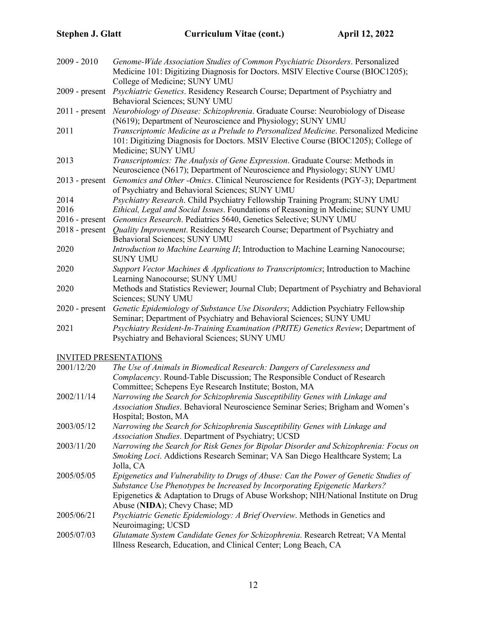| $2009 - 2010$    | Genome-Wide Association Studies of Common Psychiatric Disorders. Personalized                                                                                                                    |
|------------------|--------------------------------------------------------------------------------------------------------------------------------------------------------------------------------------------------|
|                  | Medicine 101: Digitizing Diagnosis for Doctors. MSIV Elective Course (BIOC1205);<br>College of Medicine; SUNY UMU                                                                                |
| $2009$ - present | Psychiatric Genetics. Residency Research Course; Department of Psychiatry and                                                                                                                    |
|                  | Behavioral Sciences; SUNY UMU                                                                                                                                                                    |
| $2011$ - present | Neurobiology of Disease: Schizophrenia. Graduate Course: Neurobiology of Disease<br>(N619); Department of Neuroscience and Physiology; SUNY UMU                                                  |
| 2011             | Transcriptomic Medicine as a Prelude to Personalized Medicine. Personalized Medicine<br>101: Digitizing Diagnosis for Doctors. MSIV Elective Course (BIOC1205); College of<br>Medicine; SUNY UMU |
| 2013             | Transcriptomics: The Analysis of Gene Expression. Graduate Course: Methods in                                                                                                                    |
|                  | Neuroscience (N617); Department of Neuroscience and Physiology; SUNY UMU                                                                                                                         |
| $2013$ - present | Genomics and Other -Omics. Clinical Neuroscience for Residents (PGY-3); Department<br>of Psychiatry and Behavioral Sciences; SUNY UMU                                                            |
| 2014             | Psychiatry Research. Child Psychiatry Fellowship Training Program; SUNY UMU                                                                                                                      |
| 2016             | Ethical, Legal and Social Issues. Foundations of Reasoning in Medicine; SUNY UMU                                                                                                                 |
| $2016$ - present | Genomics Research. Pediatrics 5640, Genetics Selective; SUNY UMU                                                                                                                                 |
| $2018$ - present | Quality Improvement. Residency Research Course; Department of Psychiatry and<br>Behavioral Sciences; SUNY UMU                                                                                    |
| 2020             | Introduction to Machine Learning II; Introduction to Machine Learning Nanocourse;<br><b>SUNY UMU</b>                                                                                             |
| 2020             | Support Vector Machines & Applications to Transcriptomics; Introduction to Machine<br>Learning Nanocourse; SUNY UMU                                                                              |
| 2020             | Methods and Statistics Reviewer; Journal Club; Department of Psychiatry and Behavioral<br>Sciences; SUNY UMU                                                                                     |
| $2020$ - present | Genetic Epidemiology of Substance Use Disorders; Addiction Psychiatry Fellowship<br>Seminar; Department of Psychiatry and Behavioral Sciences; SUNY UMU                                          |
| 2021             | Psychiatry Resident-In-Training Examination (PRITE) Genetics Review; Department of                                                                                                               |
|                  | Psychiatry and Behavioral Sciences; SUNY UMU                                                                                                                                                     |
|                  | <b>INVITED PRESENTATIONS</b>                                                                                                                                                                     |
| 2001/12/20       | The Use of Animals in Biomedical Research: Dangers of Carelessness and                                                                                                                           |
|                  | Complacency. Round-Table Discussion; The Responsible Conduct of Research<br>Committee; Schepens Eye Research Institute; Boston, MA                                                               |
| 2002/11/14       | Narrowing the Search for Schizophrenia Susceptibility Genes with Linkage and                                                                                                                     |
|                  |                                                                                                                                                                                                  |

- *Association Studies*. Behavioral Neuroscience Seminar Series; Brigham and Women's Hospital; Boston, MA
- 2003/05/12 *Narrowing the Search for Schizophrenia Susceptibility Genes with Linkage and Association Studies*. Department of Psychiatry; UCSD
- 2003/11/20 *Narrowing the Search for Risk Genes for Bipolar Disorder and Schizophrenia: Focus on Smoking Loci*. Addictions Research Seminar; VA San Diego Healthcare System; La Jolla, CA
- 2005/05/05 *Epigenetics and Vulnerability to Drugs of Abuse: Can the Power of Genetic Studies of Substance Use Phenotypes be Increased by Incorporating Epigenetic Markers?* Epigenetics & Adaptation to Drugs of Abuse Workshop; NIH/National Institute on Drug Abuse (**NIDA**); Chevy Chase; MD
- 2005/06/21 *Psychiatric Genetic Epidemiology: A Brief Overview*. Methods in Genetics and Neuroimaging; UCSD
- 2005/07/03 *Glutamate System Candidate Genes for Schizophrenia*. Research Retreat; VA Mental Illness Research, Education, and Clinical Center; Long Beach, CA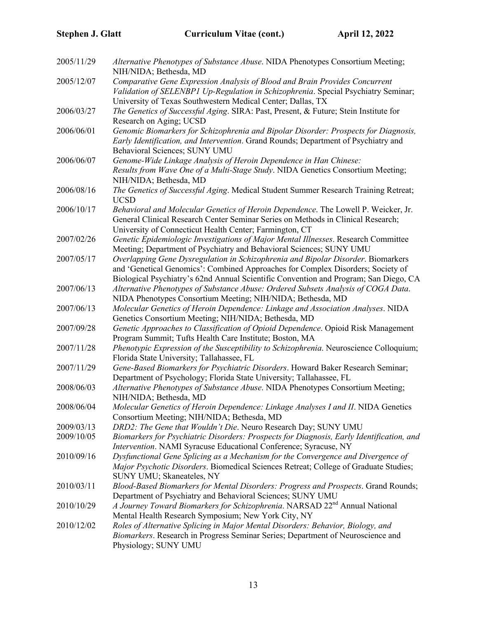| 2005/11/29 | Alternative Phenotypes of Substance Abuse. NIDA Phenotypes Consortium Meeting;<br>NIH/NIDA; Bethesda, MD                                                                                                                                                    |
|------------|-------------------------------------------------------------------------------------------------------------------------------------------------------------------------------------------------------------------------------------------------------------|
| 2005/12/07 | Comparative Gene Expression Analysis of Blood and Brain Provides Concurrent<br>Validation of SELENBP1 Up-Regulation in Schizophrenia. Special Psychiatry Seminar;                                                                                           |
| 2006/03/27 | University of Texas Southwestern Medical Center; Dallas, TX<br>The Genetics of Successful Aging. SIRA: Past, Present, & Future; Stein Institute for                                                                                                         |
|            | Research on Aging; UCSD                                                                                                                                                                                                                                     |
| 2006/06/01 | Genomic Biomarkers for Schizophrenia and Bipolar Disorder: Prospects for Diagnosis,<br>Early Identification, and Intervention. Grand Rounds; Department of Psychiatry and<br>Behavioral Sciences; SUNY UMU                                                  |
| 2006/06/07 | Genome-Wide Linkage Analysis of Heroin Dependence in Han Chinese:<br>Results from Wave One of a Multi-Stage Study. NIDA Genetics Consortium Meeting;<br>NIH/NIDA; Bethesda, MD                                                                              |
| 2006/08/16 | The Genetics of Successful Aging. Medical Student Summer Research Training Retreat;<br><b>UCSD</b>                                                                                                                                                          |
| 2006/10/17 | Behavioral and Molecular Genetics of Heroin Dependence. The Lowell P. Weicker, Jr.<br>General Clinical Research Center Seminar Series on Methods in Clinical Research;<br>University of Connecticut Health Center; Farmington, CT                           |
| 2007/02/26 | Genetic Epidemiologic Investigations of Major Mental Illnesses. Research Committee<br>Meeting; Department of Psychiatry and Behavioral Sciences; SUNY UMU                                                                                                   |
| 2007/05/17 | Overlapping Gene Dysregulation in Schizophrenia and Bipolar Disorder. Biomarkers<br>and 'Genetical Genomics': Combined Approaches for Complex Disorders; Society of<br>Biological Psychiatry's 62nd Annual Scientific Convention and Program; San Diego, CA |
| 2007/06/13 | Alternative Phenotypes of Substance Abuse: Ordered Subsets Analysis of COGA Data.<br>NIDA Phenotypes Consortium Meeting; NIH/NIDA; Bethesda, MD                                                                                                             |
| 2007/06/13 | Molecular Genetics of Heroin Dependence: Linkage and Association Analyses. NIDA<br>Genetics Consortium Meeting; NIH/NIDA; Bethesda, MD                                                                                                                      |
| 2007/09/28 | Genetic Approaches to Classification of Opioid Dependence. Opioid Risk Management<br>Program Summit; Tufts Health Care Institute; Boston, MA                                                                                                                |
| 2007/11/28 | Phenotypic Expression of the Susceptibility to Schizophrenia. Neuroscience Colloquium;<br>Florida State University; Tallahassee, FL                                                                                                                         |
| 2007/11/29 | Gene-Based Biomarkers for Psychiatric Disorders. Howard Baker Research Seminar;<br>Department of Psychology; Florida State University; Tallahassee, FL                                                                                                      |
| 2008/06/03 | Alternative Phenotypes of Substance Abuse. NIDA Phenotypes Consortium Meeting;<br>NIH/NIDA; Bethesda, MD                                                                                                                                                    |
| 2008/06/04 | Molecular Genetics of Heroin Dependence: Linkage Analyses I and II. NIDA Genetics<br>Consortium Meeting; NIH/NIDA; Bethesda, MD                                                                                                                             |
| 2009/03/13 | DRD2: The Gene that Wouldn't Die. Neuro Research Day; SUNY UMU                                                                                                                                                                                              |
| 2009/10/05 | Biomarkers for Psychiatric Disorders: Prospects for Diagnosis, Early Identification, and<br>Intervention. NAMI Syracuse Educational Conference; Syracuse, NY                                                                                                |
| 2010/09/16 | Dysfunctional Gene Splicing as a Mechanism for the Convergence and Divergence of<br>Major Psychotic Disorders. Biomedical Sciences Retreat; College of Graduate Studies;<br>SUNY UMU; Skaneateles, NY                                                       |
| 2010/03/11 | Blood-Based Biomarkers for Mental Disorders: Progress and Prospects. Grand Rounds;<br>Department of Psychiatry and Behavioral Sciences; SUNY UMU                                                                                                            |
| 2010/10/29 | A Journey Toward Biomarkers for Schizophrenia. NARSAD 22 <sup>nd</sup> Annual National                                                                                                                                                                      |
|            | Mental Health Research Symposium; New York City, NY                                                                                                                                                                                                         |
| 2010/12/02 | Roles of Alternative Splicing in Major Mental Disorders: Behavior, Biology, and<br>Biomarkers. Research in Progress Seminar Series; Department of Neuroscience and<br>Physiology; SUNY UMU                                                                  |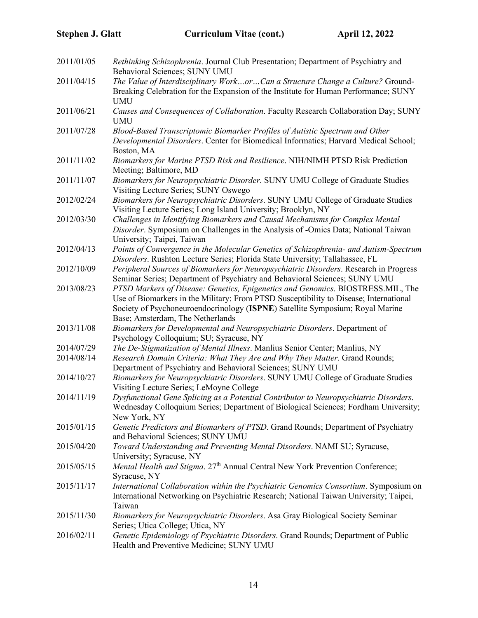| 2011/01/05 | Rethinking Schizophrenia. Journal Club Presentation; Department of Psychiatry and<br>Behavioral Sciences; SUNY UMU                                                                                                                                                                            |
|------------|-----------------------------------------------------------------------------------------------------------------------------------------------------------------------------------------------------------------------------------------------------------------------------------------------|
| 2011/04/15 | The Value of Interdisciplinary WorkorCan a Structure Change a Culture? Ground-<br>Breaking Celebration for the Expansion of the Institute for Human Performance; SUNY                                                                                                                         |
|            | <b>UMU</b>                                                                                                                                                                                                                                                                                    |
| 2011/06/21 | Causes and Consequences of Collaboration. Faculty Research Collaboration Day; SUNY<br><b>UMU</b>                                                                                                                                                                                              |
| 2011/07/28 | Blood-Based Transcriptomic Biomarker Profiles of Autistic Spectrum and Other<br>Developmental Disorders. Center for Biomedical Informatics; Harvard Medical School;<br>Boston, MA                                                                                                             |
| 2011/11/02 | Biomarkers for Marine PTSD Risk and Resilience. NIH/NIMH PTSD Risk Prediction<br>Meeting; Baltimore, MD                                                                                                                                                                                       |
| 2011/11/07 | Biomarkers for Neuropsychiatric Disorder. SUNY UMU College of Graduate Studies<br>Visiting Lecture Series; SUNY Oswego                                                                                                                                                                        |
| 2012/02/24 | Biomarkers for Neuropsychiatric Disorders. SUNY UMU College of Graduate Studies<br>Visiting Lecture Series; Long Island University; Brooklyn, NY                                                                                                                                              |
| 2012/03/30 | Challenges in Identifying Biomarkers and Causal Mechanisms for Complex Mental<br>Disorder. Symposium on Challenges in the Analysis of -Omics Data; National Taiwan<br>University; Taipei, Taiwan                                                                                              |
| 2012/04/13 | Points of Convergence in the Molecular Genetics of Schizophrenia- and Autism-Spectrum<br>Disorders. Rushton Lecture Series; Florida State University; Tallahassee, FL                                                                                                                         |
| 2012/10/09 | Peripheral Sources of Biomarkers for Neuropsychiatric Disorders. Research in Progress<br>Seminar Series; Department of Psychiatry and Behavioral Sciences; SUNY UMU                                                                                                                           |
| 2013/08/23 | PTSD Markers of Disease: Genetics, Epigenetics and Genomics. BIOSTRESS.MIL, The<br>Use of Biomarkers in the Military: From PTSD Susceptibility to Disease; International<br>Society of Psychoneuroendocrinology (ISPNE) Satellite Symposium; Royal Marine<br>Base; Amsterdam, The Netherlands |
| 2013/11/08 | Biomarkers for Developmental and Neuropsychiatric Disorders. Department of                                                                                                                                                                                                                    |
| 2014/07/29 | Psychology Colloquium; SU; Syracuse, NY<br>The De-Stigmatization of Mental Illness. Manlius Senior Center; Manlius, NY                                                                                                                                                                        |
| 2014/08/14 | Research Domain Criteria: What They Are and Why They Matter. Grand Rounds;<br>Department of Psychiatry and Behavioral Sciences; SUNY UMU                                                                                                                                                      |
| 2014/10/27 | Biomarkers for Neuropsychiatric Disorders. SUNY UMU College of Graduate Studies<br>Visiting Lecture Series; LeMoyne College                                                                                                                                                                   |
| 2014/11/19 | Dysfunctional Gene Splicing as a Potential Contributor to Neuropsychiatric Disorders.<br>Wednesday Colloquium Series; Department of Biological Sciences; Fordham University;<br>New York, NY                                                                                                  |
| 2015/01/15 | Genetic Predictors and Biomarkers of PTSD. Grand Rounds; Department of Psychiatry<br>and Behavioral Sciences; SUNY UMU                                                                                                                                                                        |
| 2015/04/20 | Toward Understanding and Preventing Mental Disorders. NAMI SU; Syracuse,<br>University; Syracuse, NY                                                                                                                                                                                          |
| 2015/05/15 | Mental Health and Stigma. 27 <sup>th</sup> Annual Central New York Prevention Conference;<br>Syracuse, NY                                                                                                                                                                                     |
| 2015/11/17 | International Collaboration within the Psychiatric Genomics Consortium. Symposium on<br>International Networking on Psychiatric Research; National Taiwan University; Taipei,<br>Taiwan                                                                                                       |
| 2015/11/30 | Biomarkers for Neuropsychiatric Disorders. Asa Gray Biological Society Seminar<br>Series; Utica College; Utica, NY                                                                                                                                                                            |
| 2016/02/11 | Genetic Epidemiology of Psychiatric Disorders. Grand Rounds; Department of Public<br>Health and Preventive Medicine; SUNY UMU                                                                                                                                                                 |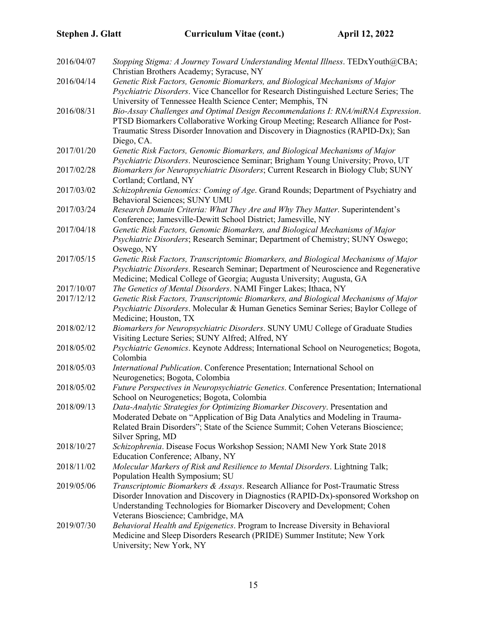| 2016/04/07 | Stopping Stigma: A Journey Toward Understanding Mental Illness. TEDxYouth@CBA;<br>Christian Brothers Academy; Syracuse, NY                                                                                                                                                                                                            |
|------------|---------------------------------------------------------------------------------------------------------------------------------------------------------------------------------------------------------------------------------------------------------------------------------------------------------------------------------------|
| 2016/04/14 | Genetic Risk Factors, Genomic Biomarkers, and Biological Mechanisms of Major<br>Psychiatric Disorders. Vice Chancellor for Research Distinguished Lecture Series; The                                                                                                                                                                 |
| 2016/08/31 | University of Tennessee Health Science Center; Memphis, TN<br>Bio-Assay Challenges and Optimal Design Recommendations I: RNA/miRNA Expression.<br>PTSD Biomarkers Collaborative Working Group Meeting; Research Alliance for Post-<br>Traumatic Stress Disorder Innovation and Discovery in Diagnostics (RAPID-Dx); San<br>Diego, CA. |
| 2017/01/20 | Genetic Risk Factors, Genomic Biomarkers, and Biological Mechanisms of Major<br>Psychiatric Disorders. Neuroscience Seminar; Brigham Young University; Provo, UT                                                                                                                                                                      |
| 2017/02/28 | Biomarkers for Neuropsychiatric Disorders; Current Research in Biology Club; SUNY<br>Cortland; Cortland, NY                                                                                                                                                                                                                           |
| 2017/03/02 | Schizophrenia Genomics: Coming of Age. Grand Rounds; Department of Psychiatry and<br>Behavioral Sciences; SUNY UMU                                                                                                                                                                                                                    |
| 2017/03/24 | Research Domain Criteria: What They Are and Why They Matter. Superintendent's<br>Conference; Jamesville-Dewitt School District; Jamesville, NY                                                                                                                                                                                        |
| 2017/04/18 | Genetic Risk Factors, Genomic Biomarkers, and Biological Mechanisms of Major<br>Psychiatric Disorders; Research Seminar; Department of Chemistry; SUNY Oswego;<br>Oswego, NY                                                                                                                                                          |
| 2017/05/15 | Genetic Risk Factors, Transcriptomic Biomarkers, and Biological Mechanisms of Major<br>Psychiatric Disorders. Research Seminar; Department of Neuroscience and Regenerative<br>Medicine; Medical College of Georgia; Augusta University; Augusta, GA                                                                                  |
| 2017/10/07 | The Genetics of Mental Disorders. NAMI Finger Lakes; Ithaca, NY                                                                                                                                                                                                                                                                       |
| 2017/12/12 | Genetic Risk Factors, Transcriptomic Biomarkers, and Biological Mechanisms of Major<br>Psychiatric Disorders. Molecular & Human Genetics Seminar Series; Baylor College of<br>Medicine; Houston, TX                                                                                                                                   |
| 2018/02/12 | Biomarkers for Neuropsychiatric Disorders. SUNY UMU College of Graduate Studies<br>Visiting Lecture Series; SUNY Alfred; Alfred, NY                                                                                                                                                                                                   |
| 2018/05/02 | Psychiatric Genomics. Keynote Address; International School on Neurogenetics; Bogota,<br>Colombia                                                                                                                                                                                                                                     |
| 2018/05/03 | International Publication. Conference Presentation; International School on<br>Neurogenetics; Bogota, Colombia                                                                                                                                                                                                                        |
| 2018/05/02 | Future Perspectives in Neuropsychiatric Genetics. Conference Presentation; International<br>School on Neurogenetics; Bogota, Colombia                                                                                                                                                                                                 |
| 2018/09/13 | Data-Analytic Strategies for Optimizing Biomarker Discovery. Presentation and<br>Moderated Debate on "Application of Big Data Analytics and Modeling in Trauma-<br>Related Brain Disorders"; State of the Science Summit; Cohen Veterans Bioscience;<br>Silver Spring, MD                                                             |
| 2018/10/27 | Schizophrenia. Disease Focus Workshop Session; NAMI New York State 2018<br>Education Conference; Albany, NY                                                                                                                                                                                                                           |
| 2018/11/02 | Molecular Markers of Risk and Resilience to Mental Disorders. Lightning Talk;<br>Population Health Symposium; SU                                                                                                                                                                                                                      |
| 2019/05/06 | Transcriptomic Biomarkers & Assays. Research Alliance for Post-Traumatic Stress<br>Disorder Innovation and Discovery in Diagnostics (RAPID-Dx)-sponsored Workshop on<br>Understanding Technologies for Biomarker Discovery and Development; Cohen<br>Veterans Bioscience; Cambridge, MA                                               |
| 2019/07/30 | Behavioral Health and Epigenetics. Program to Increase Diversity in Behavioral<br>Medicine and Sleep Disorders Research (PRIDE) Summer Institute; New York<br>University; New York, NY                                                                                                                                                |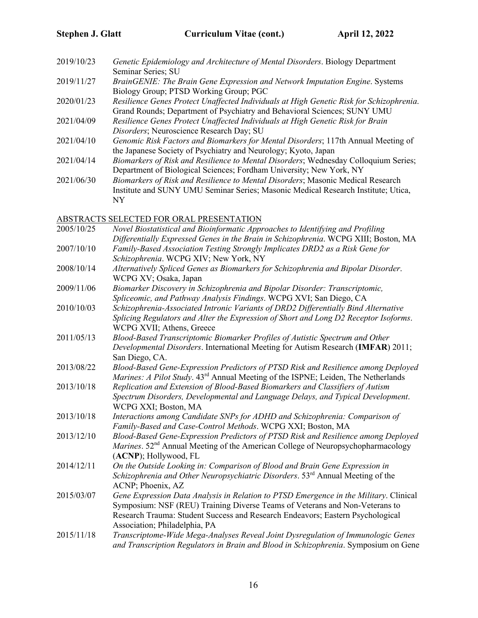| Genetic Epidemiology and Architecture of Mental Disorders. Biology Department           |
|-----------------------------------------------------------------------------------------|
| Seminar Series; SU                                                                      |
| BrainGENIE: The Brain Gene Expression and Network Imputation Engine. Systems            |
| Biology Group; PTSD Working Group; PGC                                                  |
| Resilience Genes Protect Unaffected Individuals at High Genetic Risk for Schizophrenia. |
| Grand Rounds; Department of Psychiatry and Behavioral Sciences; SUNY UMU                |
| Resilience Genes Protect Unaffected Individuals at High Genetic Risk for Brain          |
| Disorders; Neuroscience Research Day; SU                                                |
| Genomic Risk Factors and Biomarkers for Mental Disorders; 117th Annual Meeting of       |
| the Japanese Society of Psychiatry and Neurology; Kyoto, Japan                          |
| Biomarkers of Risk and Resilience to Mental Disorders; Wednesday Colloquium Series;     |
| Department of Biological Sciences; Fordham University; New York, NY                     |
| Biomarkers of Risk and Resilience to Mental Disorders; Masonic Medical Research         |
| Institute and SUNY UMU Seminar Series; Masonic Medical Research Institute; Utica,       |
| <b>NY</b>                                                                               |
|                                                                                         |

### ABSTRACTS SELECTED FOR ORAL PRESENTATION

| 2005/10/25 | Novel Biostatistical and Bioinformatic Approaches to Identifying and Profiling<br>Differentially Expressed Genes in the Brain in Schizophrenia. WCPG XIII; Boston, MA                                                                                                                   |
|------------|-----------------------------------------------------------------------------------------------------------------------------------------------------------------------------------------------------------------------------------------------------------------------------------------|
| 2007/10/10 | Family-Based Association Testing Strongly Implicates DRD2 as a Risk Gene for                                                                                                                                                                                                            |
|            | Schizophrenia. WCPG XIV; New York, NY                                                                                                                                                                                                                                                   |
| 2008/10/14 | Alternatively Spliced Genes as Biomarkers for Schizophrenia and Bipolar Disorder.<br>WCPG XV; Osaka, Japan                                                                                                                                                                              |
| 2009/11/06 | Biomarker Discovery in Schizophrenia and Bipolar Disorder: Transcriptomic,<br>Spliceomic, and Pathway Analysis Findings. WCPG XVI; San Diego, CA                                                                                                                                        |
| 2010/10/03 | Schizophrenia-Associated Intronic Variants of DRD2 Differentially Bind Alternative<br>Splicing Regulators and Alter the Expression of Short and Long D2 Receptor Isoforms.<br>WCPG XVII; Athens, Greece                                                                                 |
| 2011/05/13 | Blood-Based Transcriptomic Biomarker Profiles of Autistic Spectrum and Other<br>Developmental Disorders. International Meeting for Autism Research (IMFAR) 2011;<br>San Diego, CA.                                                                                                      |
| 2013/08/22 | Blood-Based Gene-Expression Predictors of PTSD Risk and Resilience among Deployed<br>Marines: A Pilot Study. 43 <sup>rd</sup> Annual Meeting of the ISPNE; Leiden, The Netherlands                                                                                                      |
| 2013/10/18 | Replication and Extension of Blood-Based Biomarkers and Classifiers of Autism<br>Spectrum Disorders, Developmental and Language Delays, and Typical Development.<br>WCPG XXI; Boston, MA                                                                                                |
| 2013/10/18 | Interactions among Candidate SNPs for ADHD and Schizophrenia: Comparison of<br>Family-Based and Case-Control Methods. WCPG XXI; Boston, MA                                                                                                                                              |
| 2013/12/10 | Blood-Based Gene-Expression Predictors of PTSD Risk and Resilience among Deployed<br>Marines. 52 <sup>nd</sup> Annual Meeting of the American College of Neuropsychopharmacology<br>(ACNP); Hollywood, FL                                                                               |
| 2014/12/11 | On the Outside Looking in: Comparison of Blood and Brain Gene Expression in<br>Schizophrenia and Other Neuropsychiatric Disorders. 53 <sup>rd</sup> Annual Meeting of the<br>ACNP; Phoenix, AZ                                                                                          |
| 2015/03/07 | Gene Expression Data Analysis in Relation to PTSD Emergence in the Military. Clinical<br>Symposium: NSF (REU) Training Diverse Teams of Veterans and Non-Veterans to<br>Research Trauma: Student Success and Research Endeavors; Eastern Psychological<br>Association; Philadelphia, PA |
| 2015/11/18 | Transcriptome-Wide Mega-Analyses Reveal Joint Dysregulation of Immunologic Genes<br>and Transcription Regulators in Brain and Blood in Schizophrenia. Symposium on Gene                                                                                                                 |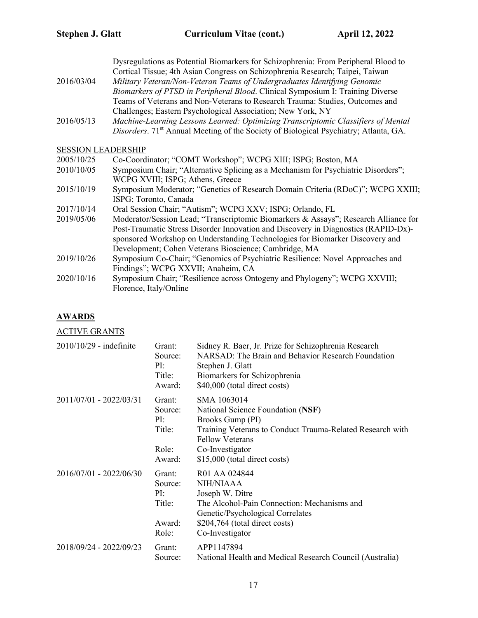Dysregulations as Potential Biomarkers for Schizophrenia: From Peripheral Blood to Cortical Tissue; 4th Asian Congress on Schizophrenia Research; Taipei, Taiwan 2016/03/04 *Military Veteran/Non-Veteran Teams of Undergraduates Identifying Genomic Biomarkers of PTSD in Peripheral Blood*. Clinical Symposium I: Training Diverse Teams of Veterans and Non-Veterans to Research Trauma: Studies, Outcomes and Challenges; Eastern Psychological Association; New York, NY 2016/05/13 *Machine-Learning Lessons Learned: Optimizing Transcriptomic Classifiers of Mental Disorders*. 71<sup>st</sup> Annual Meeting of the Society of Biological Psychiatry; Atlanta, GA. SESSION LEADERSHIP 2005/10/25 Co-Coordinator; "COMT Workshop"; WCPG XIII; ISPG; Boston, MA 2010/10/05 Symposium Chair; "Alternative Splicing as a Mechanism for Psychiatric Disorders"; WCPG XVIII; ISPG; Athens, Greece 2015/10/19 Symposium Moderator; "Genetics of Research Domain Criteria (RDoC)"; WCPG XXIII; ISPG; Toronto, Canada 2017/10/14 Oral Session Chair; "Autism"; WCPG XXV; ISPG; Orlando, FL

- 2019/05/06 Moderator/Session Lead; "Transcriptomic Biomarkers & Assays"; Research Alliance for Post-Traumatic Stress Disorder Innovation and Discovery in Diagnostics (RAPID-Dx) sponsored Workshop on Understanding Technologies for Biomarker Discovery and Development; Cohen Veterans Bioscience; Cambridge, MA
- 2019/10/26 Symposium Co-Chair; "Genomics of Psychiatric Resilience: Novel Approaches and Findings"; WCPG XXVII; Anaheim, CA
- 2020/10/16 Symposium Chair; "Resilience across Ontogeny and Phylogeny"; WCPG XXVIII; Florence, Italy/Online

### **AWARDS**

ACTIVE GRANTS

| $2010/10/29$ - indefinite | Grant:<br>Source:<br>PI:<br>Title:<br>Award: | Sidney R. Baer, Jr. Prize for Schizophrenia Research<br>NARSAD: The Brain and Behavior Research Foundation<br>Stephen J. Glatt<br>Biomarkers for Schizophrenia<br>\$40,000 (total direct costs) |
|---------------------------|----------------------------------------------|-------------------------------------------------------------------------------------------------------------------------------------------------------------------------------------------------|
| 2011/07/01 - 2022/03/31   | Grant:<br>Source:<br>PI:<br>Title:<br>Role:  | SMA 1063014<br>National Science Foundation (NSF)<br>Brooks Gump (PI)<br>Training Veterans to Conduct Trauma-Related Research with<br><b>Fellow Veterans</b><br>Co-Investigator                  |
| 2016/07/01 - 2022/06/30   | Award:<br>Grant:<br>Source:<br>PI:<br>Title: | \$15,000 (total direct costs)<br>R01 AA 024844<br>NIH/NIAAA<br>Joseph W. Ditre<br>The Alcohol-Pain Connection: Mechanisms and                                                                   |
|                           | Award:<br>Role:                              | Genetic/Psychological Correlates<br>\$204,764 (total direct costs)<br>Co-Investigator                                                                                                           |
| 2018/09/24 - 2022/09/23   | Grant:<br>Source:                            | APP1147894<br>National Health and Medical Research Council (Australia)                                                                                                                          |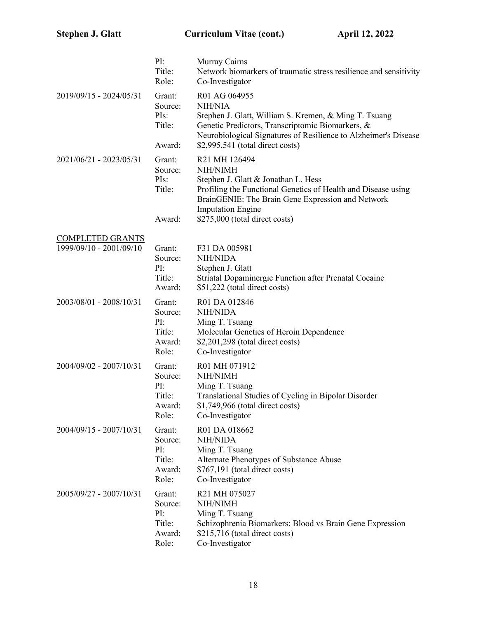|                         | PI:<br>Title:<br>Role:                                | Murray Cairns<br>Network biomarkers of traumatic stress resilience and sensitivity<br>Co-Investigator                                                                                                                                                |
|-------------------------|-------------------------------------------------------|------------------------------------------------------------------------------------------------------------------------------------------------------------------------------------------------------------------------------------------------------|
| 2019/09/15 - 2024/05/31 | Grant:<br>Source:<br>PIs:<br>Title:<br>Award:         | R01 AG 064955<br>NIH/NIA<br>Stephen J. Glatt, William S. Kremen, & Ming T. Tsuang<br>Genetic Predictors, Transcriptomic Biomarkers, &<br>Neurobiological Signatures of Resilience to Alzheimer's Disease<br>\$2,995,541 (total direct costs)         |
| 2021/06/21 - 2023/05/31 | Grant:<br>Source:<br>PIs:<br>Title:<br>Award:         | R21 MH 126494<br>NIH/NIMH<br>Stephen J. Glatt & Jonathan L. Hess<br>Profiling the Functional Genetics of Health and Disease using<br>BrainGENIE: The Brain Gene Expression and Network<br><b>Imputation Engine</b><br>\$275,000 (total direct costs) |
| <b>COMPLETED GRANTS</b> |                                                       |                                                                                                                                                                                                                                                      |
| 1999/09/10 - 2001/09/10 | Grant:<br>Source:<br>PI:<br>Title:<br>Award:          | F31 DA 005981<br><b>NIH/NIDA</b><br>Stephen J. Glatt<br>Striatal Dopaminergic Function after Prenatal Cocaine<br>\$51,222 (total direct costs)                                                                                                       |
| 2003/08/01 - 2008/10/31 | Grant:<br>Source:<br>PI:<br>Title:<br>Award:<br>Role: | R01 DA 012846<br><b>NIH/NIDA</b><br>Ming T. Tsuang<br>Molecular Genetics of Heroin Dependence<br>$$2,201,298$ (total direct costs)<br>Co-Investigator                                                                                                |
| 2004/09/02 - 2007/10/31 | Grant:<br>Source:<br>PI:<br>Title:<br>Award:<br>Role: | R01 MH 071912<br>NIH/NIMH<br>Ming T. Tsuang<br>Translational Studies of Cycling in Bipolar Disorder<br>$$1,749,966$ (total direct costs)<br>Co-Investigator                                                                                          |
| 2004/09/15 - 2007/10/31 | Grant:<br>Source:<br>PI:<br>Title:<br>Award:<br>Role: | R01 DA 018662<br><b>NIH/NIDA</b><br>Ming T. Tsuang<br>Alternate Phenotypes of Substance Abuse<br>\$767,191 (total direct costs)<br>Co-Investigator                                                                                                   |
| 2005/09/27 - 2007/10/31 | Grant:<br>Source:<br>PI:<br>Title:<br>Award:<br>Role: | R21 MH 075027<br>NIH/NIMH<br>Ming T. Tsuang<br>Schizophrenia Biomarkers: Blood vs Brain Gene Expression<br>\$215,716 (total direct costs)<br>Co-Investigator                                                                                         |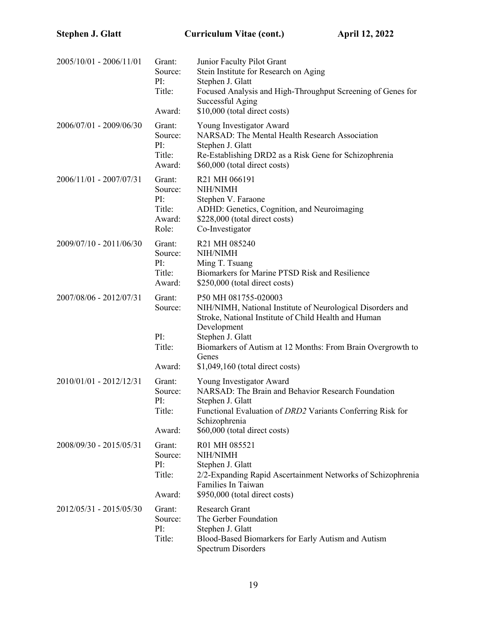| 2005/10/01 - 2006/11/01 | Grant:<br>Source:<br>PI:<br>Title:<br>Award:          | Junior Faculty Pilot Grant<br>Stein Institute for Research on Aging<br>Stephen J. Glatt<br>Focused Analysis and High-Throughput Screening of Genes for<br>Successful Aging<br>\$10,000 (total direct costs)                                                                                |
|-------------------------|-------------------------------------------------------|--------------------------------------------------------------------------------------------------------------------------------------------------------------------------------------------------------------------------------------------------------------------------------------------|
| 2006/07/01 - 2009/06/30 | Grant:<br>Source:<br>PI:<br>Title:<br>Award:          | Young Investigator Award<br>NARSAD: The Mental Health Research Association<br>Stephen J. Glatt<br>Re-Establishing DRD2 as a Risk Gene for Schizophrenia<br>\$60,000 (total direct costs)                                                                                                   |
| 2006/11/01 - 2007/07/31 | Grant:<br>Source:<br>PI:<br>Title:<br>Award:<br>Role: | R21 MH 066191<br>NIH/NIMH<br>Stephen V. Faraone<br>ADHD: Genetics, Cognition, and Neuroimaging<br>\$228,000 (total direct costs)<br>Co-Investigator                                                                                                                                        |
| 2009/07/10 - 2011/06/30 | Grant:<br>Source:<br>PI:<br>Title:<br>Award:          | R21 MH 085240<br>NIH/NIMH<br>Ming T. Tsuang<br>Biomarkers for Marine PTSD Risk and Resilience<br>\$250,000 (total direct costs)                                                                                                                                                            |
| 2007/08/06 - 2012/07/31 | Grant:<br>Source:<br>PI:<br>Title:<br>Award:          | P50 MH 081755-020003<br>NIH/NIMH, National Institute of Neurological Disorders and<br>Stroke, National Institute of Child Health and Human<br>Development<br>Stephen J. Glatt<br>Biomarkers of Autism at 12 Months: From Brain Overgrowth to<br>Genes<br>$$1,049,160$ (total direct costs) |
| 2010/01/01 - 2012/12/31 | Grant:<br>Source:<br>PI:<br>Title:<br>Award:          | Young Investigator Award<br>NARSAD: The Brain and Behavior Research Foundation<br>Stephen J. Glatt<br>Functional Evaluation of DRD2 Variants Conferring Risk for<br>Schizophrenia<br>\$60,000 (total direct costs)                                                                         |
| 2008/09/30 - 2015/05/31 | Grant:<br>Source:<br>PI:<br>Title:<br>Award:          | R01 MH 085521<br>NIH/NIMH<br>Stephen J. Glatt<br>2/2-Expanding Rapid Ascertainment Networks of Schizophrenia<br>Families In Taiwan<br>\$950,000 (total direct costs)                                                                                                                       |
| 2012/05/31 - 2015/05/30 | Grant:<br>Source:<br>PI:<br>Title:                    | Research Grant<br>The Gerber Foundation<br>Stephen J. Glatt<br>Blood-Based Biomarkers for Early Autism and Autism<br><b>Spectrum Disorders</b>                                                                                                                                             |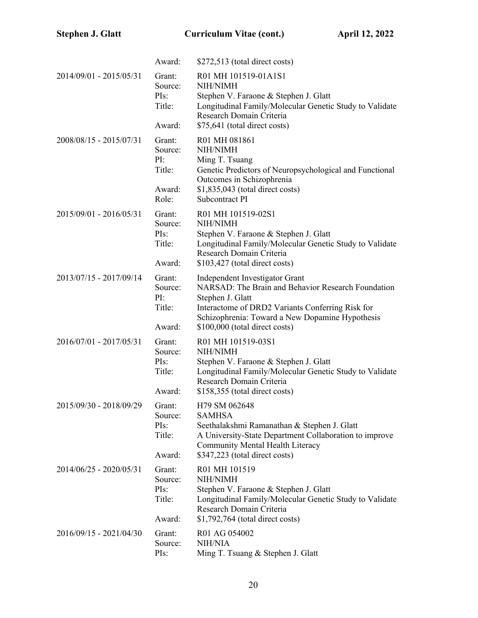|                         | Award:                                                 | \$272,513 (total direct costs)                                                                                                                                                                                                                    |
|-------------------------|--------------------------------------------------------|---------------------------------------------------------------------------------------------------------------------------------------------------------------------------------------------------------------------------------------------------|
| 2014/09/01 - 2015/05/31 | Grant:<br>Source:<br>PIs:<br>Title:<br>Award:          | R01 MH 101519-01A1S1<br>NIH/NIMH<br>Stephen V. Faraone & Stephen J. Glatt<br>Longitudinal Family/Molecular Genetic Study to Validate<br>Research Domain Criteria<br>\$75,641 (total direct costs)                                                 |
| 2008/08/15 - 2015/07/31 | Grant:<br>Source:<br>PI:<br>Title:<br>Award:           | R01 MH 081861<br>NIH/NIMH<br>Ming T. Tsuang<br>Genetic Predictors of Neuropsychological and Functional<br>Outcomes in Schizophrenia<br>$$1,835,043$ (total direct costs)                                                                          |
| 2015/09/01 - 2016/05/31 | Role:<br>Grant:<br>Source:<br>PIs:<br>Title:<br>Award: | Subcontract PI<br>R01 MH 101519-02S1<br>NIH/NIMH<br>Stephen V. Faraone & Stephen J. Glatt<br>Longitudinal Family/Molecular Genetic Study to Validate<br>Research Domain Criteria<br>\$103,427 (total direct costs)                                |
| 2013/07/15 - 2017/09/14 | Grant:<br>Source:<br>PI:<br>Title:<br>Award:           | Independent Investigator Grant<br>NARSAD: The Brain and Behavior Research Foundation<br>Stephen J. Glatt<br>Interactome of DRD2 Variants Conferring Risk for<br>Schizophrenia: Toward a New Dopamine Hypothesis<br>\$100,000 (total direct costs) |
| 2016/07/01 - 2017/05/31 | Grant:<br>Source:<br>PIs:<br>Title:<br>Award:          | R01 MH 101519-03S1<br>NIH/NIMH<br>Stephen V. Faraone & Stephen J. Glatt<br>Longitudinal Family/Molecular Genetic Study to Validate<br>Research Domain Criteria<br>\$158,355 (total direct costs)                                                  |
| 2015/09/30 - 2018/09/29 | Grant:<br>Source:<br>PIs:<br>Title:<br>Award:          | H79 SM 062648<br><b>SAMHSA</b><br>Seethalakshmi Ramanathan & Stephen J. Glatt<br>A University-State Department Collaboration to improve<br>Community Mental Health Literacy<br>\$347,223 (total direct costs)                                     |
| 2014/06/25 - 2020/05/31 | Grant:<br>Source:<br>PIs:<br>Title:<br>Award:          | R01 MH 101519<br>NIH/NIMH<br>Stephen V. Faraone & Stephen J. Glatt<br>Longitudinal Family/Molecular Genetic Study to Validate<br>Research Domain Criteria<br>\$1,792,764 (total direct costs)                                                     |
| 2016/09/15 - 2021/04/30 | Grant:<br>Source:<br>PIs:                              | R01 AG 054002<br><b>NIH/NIA</b><br>Ming T. Tsuang & Stephen J. Glatt                                                                                                                                                                              |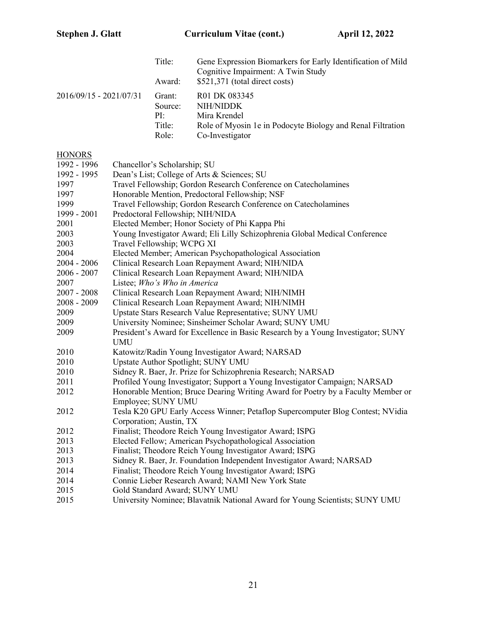|                           | Title:<br>Award:                            | Gene Expression Biomarkers for Early Identification of Mild<br>Cognitive Impairment: A Twin Study<br>\$521,371 (total direct costs) |
|---------------------------|---------------------------------------------|-------------------------------------------------------------------------------------------------------------------------------------|
| $2016/09/15 - 2021/07/31$ | Grant:<br>Source:<br>PI:<br>Title:<br>Role: | R01 DK 083345<br>NIH/NIDDK<br>Mira Krendel<br>Role of Myosin 1e in Podocyte Biology and Renal Filtration<br>Co-Investigator         |

# **HONORS**

| HONORS        |                                                                                                                                 |
|---------------|---------------------------------------------------------------------------------------------------------------------------------|
| 1992 - 1996   | Chancellor's Scholarship; SU                                                                                                    |
| 1992 - 1995   | Dean's List; College of Arts & Sciences; SU                                                                                     |
| 1997          | Travel Fellowship; Gordon Research Conference on Catecholamines                                                                 |
| 1997          | Honorable Mention, Predoctoral Fellowship; NSF                                                                                  |
| 1999          | Travel Fellowship; Gordon Research Conference on Catecholamines                                                                 |
| 1999 - 2001   | Predoctoral Fellowship; NIH/NIDA                                                                                                |
| 2001          | Elected Member; Honor Society of Phi Kappa Phi                                                                                  |
| 2003          | Young Investigator Award; Eli Lilly Schizophrenia Global Medical Conference                                                     |
| 2003          | Travel Fellowship; WCPG XI                                                                                                      |
| 2004          | Elected Member; American Psychopathological Association                                                                         |
| $2004 - 2006$ | Clinical Research Loan Repayment Award; NIH/NIDA                                                                                |
| 2006 - 2007   | Clinical Research Loan Repayment Award; NIH/NIDA                                                                                |
| 2007          | Listee; Who's Who in America                                                                                                    |
| $2007 - 2008$ | Clinical Research Loan Repayment Award; NIH/NIMH                                                                                |
| 2008 - 2009   | Clinical Research Loan Repayment Award; NIH/NIMH                                                                                |
| 2009          | Upstate Stars Research Value Representative; SUNY UMU                                                                           |
| 2009          | University Nominee; Sinsheimer Scholar Award; SUNY UMU                                                                          |
| 2009          | President's Award for Excellence in Basic Research by a Young Investigator; SUNY<br><b>UMU</b>                                  |
| 2010          | Katowitz/Radin Young Investigator Award; NARSAD                                                                                 |
| 2010          | Upstate Author Spotlight; SUNY UMU                                                                                              |
| 2010          | Sidney R. Baer, Jr. Prize for Schizophrenia Research; NARSAD                                                                    |
| 2011          | Profiled Young Investigator; Support a Young Investigator Campaign; NARSAD                                                      |
| 2012          | Honorable Mention; Bruce Dearing Writing Award for Poetry by a Faculty Member or                                                |
| 2012          | Employee; SUNY UMU<br>Tesla K20 GPU Early Access Winner; Petaflop Supercomputer Blog Contest; NVidia<br>Corporation; Austin, TX |
| 2012          | Finalist; Theodore Reich Young Investigator Award; ISPG                                                                         |
| 2013          | Elected Fellow; American Psychopathological Association                                                                         |
| 2013          | Finalist; Theodore Reich Young Investigator Award; ISPG                                                                         |
| 2013          | Sidney R. Baer, Jr. Foundation Independent Investigator Award; NARSAD                                                           |
| 2014          | Finalist; Theodore Reich Young Investigator Award; ISPG                                                                         |
| 2014          | Connie Lieber Research Award; NAMI New York State                                                                               |
| 2015          | Gold Standard Award; SUNY UMU                                                                                                   |
| 2015          | University Nominee; Blavatnik National Award for Young Scientists; SUNY UMU                                                     |
|               |                                                                                                                                 |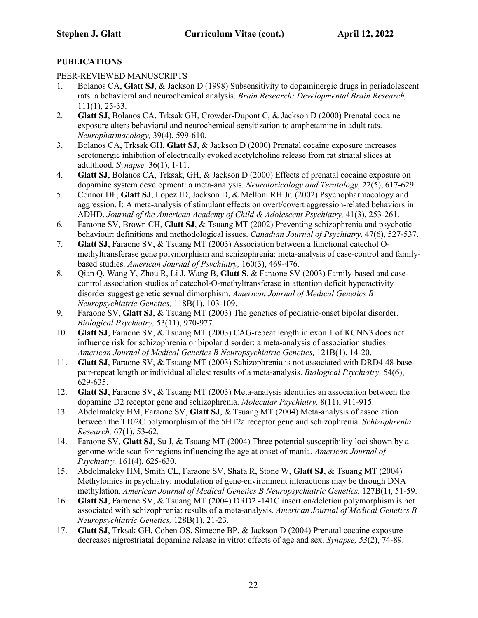### **PUBLICATIONS**

### PEER-REVIEWED MANUSCRIPTS

- 1. Bolanos CA, **Glatt SJ**, & Jackson D (1998) Subsensitivity to dopaminergic drugs in periadolescent rats: a behavioral and neurochemical analysis. *Brain Research: Developmental Brain Research,*  111(1), 25-33.
- 2. **Glatt SJ**, Bolanos CA, Trksak GH, Crowder-Dupont C, & Jackson D (2000) Prenatal cocaine exposure alters behavioral and neurochemical sensitization to amphetamine in adult rats. *Neuropharmacology,* 39(4), 599-610.
- 3. Bolanos CA, Trksak GH, **Glatt SJ**, & Jackson D (2000) Prenatal cocaine exposure increases serotonergic inhibition of electrically evoked acetylcholine release from rat striatal slices at adulthood. *Synapse,* 36(1), 1-11.
- 4. **Glatt SJ**, Bolanos CA, Trksak, GH, & Jackson D (2000) Effects of prenatal cocaine exposure on dopamine system development: a meta-analysis. *Neurotoxicology and Teratology,* 22(5), 617-629.
- 5. Connor DF, **Glatt SJ**, Lopez ID, Jackson D, & Melloni RH Jr. (2002) Psychopharmacology and aggression. I: A meta-analysis of stimulant effects on overt/covert aggression-related behaviors in ADHD. *Journal of the American Academy of Child & Adolescent Psychiatry,* 41(3), 253-261.
- 6. Faraone SV, Brown CH, **Glatt SJ**, & Tsuang MT (2002) Preventing schizophrenia and psychotic behaviour: definitions and methodological issues. *Canadian Journal of Psychiatry,* 47(6), 527-537.
- 7. **Glatt SJ**, Faraone SV, & Tsuang MT (2003) Association between a functional catechol Omethyltransferase gene polymorphism and schizophrenia: meta-analysis of case-control and familybased studies. *American Journal of Psychiatry,* 160(3), 469-476.
- 8. Qian Q, Wang Y, Zhou R, Li J, Wang B, **Glatt S**, & Faraone SV (2003) Family-based and casecontrol association studies of catechol-O-methyltransferase in attention deficit hyperactivity disorder suggest genetic sexual dimorphism. *American Journal of Medical Genetics B Neuropsychiatric Genetics,* 118B(1), 103-109.
- 9. Faraone SV, **Glatt SJ**, & Tsuang MT (2003) The genetics of pediatric-onset bipolar disorder. *Biological Psychiatry,* 53(11), 970-977.
- 10. **Glatt SJ**, Faraone SV, & Tsuang MT (2003) CAG-repeat length in exon 1 of KCNN3 does not influence risk for schizophrenia or bipolar disorder: a meta-analysis of association studies. *American Journal of Medical Genetics B Neuropsychiatric Genetics,* 121B(1), 14-20.
- 11. **Glatt SJ**, Faraone SV, & Tsuang MT (2003) Schizophrenia is not associated with DRD4 48-basepair-repeat length or individual alleles: results of a meta-analysis. *Biological Psychiatry,* 54(6), 629-635.
- 12. **Glatt SJ**, Faraone SV, & Tsuang MT (2003) Meta-analysis identifies an association between the dopamine D2 receptor gene and schizophrenia. *Molecular Psychiatry,* 8(11), 911-915.
- 13. Abdolmaleky HM, Faraone SV, **Glatt SJ**, & Tsuang MT (2004) Meta-analysis of association between the T102C polymorphism of the 5HT2a receptor gene and schizophrenia. *Schizophrenia Research,* 67(1), 53-62.
- 14. Faraone SV, **Glatt SJ**, Su J, & Tsuang MT (2004) Three potential susceptibility loci shown by a genome-wide scan for regions influencing the age at onset of mania. *American Journal of Psychiatry,* 161(4), 625-630.
- 15. Abdolmaleky HM, Smith CL, Faraone SV, Shafa R, Stone W, **Glatt SJ**, & Tsuang MT (2004) Methylomics in psychiatry: modulation of gene-environment interactions may be through DNA methylation. *American Journal of Medical Genetics B Neuropsychiatric Genetics,* 127B(1), 51-59.
- 16. **Glatt SJ**, Faraone SV, & Tsuang MT (2004) DRD2 -141C insertion/deletion polymorphism is not associated with schizophrenia: results of a meta-analysis. *American Journal of Medical Genetics B Neuropsychiatric Genetics,* 128B(1), 21-23.
- 17. **Glatt SJ**, Trksak GH, Cohen OS, Simeone BP, & Jackson D (2004) Prenatal cocaine exposure decreases nigrostriatal dopamine release in vitro: effects of age and sex. *Synapse, 53*(2), 74-89.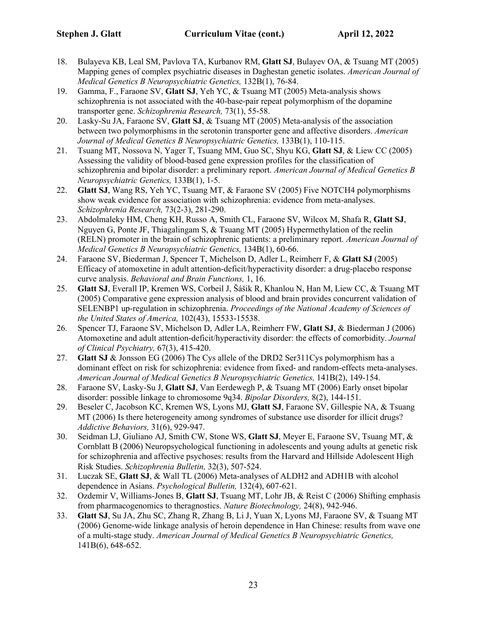- 18. Bulayeva KB, Leal SM, Pavlova TA, Kurbanov RM, **Glatt SJ**, Bulayev OA, & Tsuang MT (2005) Mapping genes of complex psychiatric diseases in Daghestan genetic isolates. *American Journal of Medical Genetics B Neuropsychiatric Genetics,* 132B(1), 76-84.
- 19. Gamma, F., Faraone SV, **Glatt SJ**, Yeh YC, & Tsuang MT (2005) Meta-analysis shows schizophrenia is not associated with the 40-base-pair repeat polymorphism of the dopamine transporter gene. *Schizophrenia Research,* 73(1), 55-58.
- 20. Lasky-Su JA, Faraone SV, **Glatt SJ**, & Tsuang MT (2005) Meta-analysis of the association between two polymorphisms in the serotonin transporter gene and affective disorders. *American Journal of Medical Genetics B Neuropsychiatric Genetics,* 133B(1), 110-115.
- 21. Tsuang MT, Nossova N, Yager T, Tsuang MM, Guo SC, Shyu KG, **Glatt SJ**, & Liew CC (2005) Assessing the validity of blood-based gene expression profiles for the classification of schizophrenia and bipolar disorder: a preliminary report. *American Journal of Medical Genetics B Neuropsychiatric Genetics,* 133B(1), 1-5.
- 22. **Glatt SJ**, Wang RS, Yeh YC, Tsuang MT, & Faraone SV (2005) Five NOTCH4 polymorphisms show weak evidence for association with schizophrenia: evidence from meta-analyses. *Schizophrenia Research,* 73(2-3), 281-290.
- 23. Abdolmaleky HM, Cheng KH, Russo A, Smith CL, Faraone SV, Wilcox M, Shafa R, **Glatt SJ**, Nguyen G, Ponte JF, Thiagalingam S, & Tsuang MT (2005) Hypermethylation of the reelin (RELN) promoter in the brain of schizophrenic patients: a preliminary report. *American Journal of Medical Genetics B Neuropsychiatric Genetics,* 134B(1), 60-66.
- 24. Faraone SV, Biederman J, Spencer T, Michelson D, Adler L, Reimherr F, & **Glatt SJ** (2005) Efficacy of atomoxetine in adult attention-deficit/hyperactivity disorder: a drug-placebo response curve analysis. *Behavioral and Brain Functions,* 1, 16.
- 25. **Glatt SJ**, Everall IP, Kremen WS, Corbeil J, Šášik R, Khanlou N, Han M, Liew CC, & Tsuang MT (2005) Comparative gene expression analysis of blood and brain provides concurrent validation of SELENBP1 up-regulation in schizophrenia. *Proceedings of the National Academy of Sciences of the United States of America,* 102(43), 15533-15538.
- 26. Spencer TJ, Faraone SV, Michelson D, Adler LA, Reimherr FW, **Glatt SJ**, & Biederman J (2006) Atomoxetine and adult attention-deficit/hyperactivity disorder: the effects of comorbidity. *Journal of Clinical Psychiatry,* 67(3), 415-420.
- 27. **Glatt SJ** & Jonsson EG (2006) The Cys allele of the DRD2 Ser311Cys polymorphism has a dominant effect on risk for schizophrenia: evidence from fixed- and random-effects meta-analyses. *American Journal of Medical Genetics B Neuropsychiatric Genetics,* 141B(2), 149-154.
- 28. Faraone SV, Lasky-Su J, **Glatt SJ**, Van Eerdewegh P, & Tsuang MT (2006) Early onset bipolar disorder: possible linkage to chromosome 9q34. *Bipolar Disorders,* 8(2), 144-151.
- 29. Beseler C, Jacobson KC, Kremen WS, Lyons MJ, **Glatt SJ**, Faraone SV, Gillespie NA, & Tsuang MT (2006) Is there heterogeneity among syndromes of substance use disorder for illicit drugs? *Addictive Behaviors,* 31(6), 929-947.
- 30. Seidman LJ, Giuliano AJ, Smith CW, Stone WS, **Glatt SJ**, Meyer E, Faraone SV, Tsuang MT, & Cornblatt B (2006) Neuropsychological functioning in adolescents and young adults at genetic risk for schizophrenia and affective psychoses: results from the Harvard and Hillside Adolescent High Risk Studies. *Schizophrenia Bulletin,* 32(3), 507-524.
- 31. Luczak SE, **Glatt SJ**, & Wall TL (2006) Meta-analyses of ALDH2 and ADH1B with alcohol dependence in Asians. *Psychological Bulletin,* 132(4), 607-621.
- 32. Ozdemir V, Williams-Jones B, **Glatt SJ**, Tsuang MT, Lohr JB, & Reist C (2006) Shifting emphasis from pharmacogenomics to theragnostics. *Nature Biotechnology,* 24(8), 942-946.
- 33. **Glatt SJ**, Su JA, Zhu SC, Zhang R, Zhang B, Li J, Yuan X, Lyons MJ, Faraone SV, & Tsuang MT (2006) Genome-wide linkage analysis of heroin dependence in Han Chinese: results from wave one of a multi-stage study. *American Journal of Medical Genetics B Neuropsychiatric Genetics,*  141B(6), 648-652.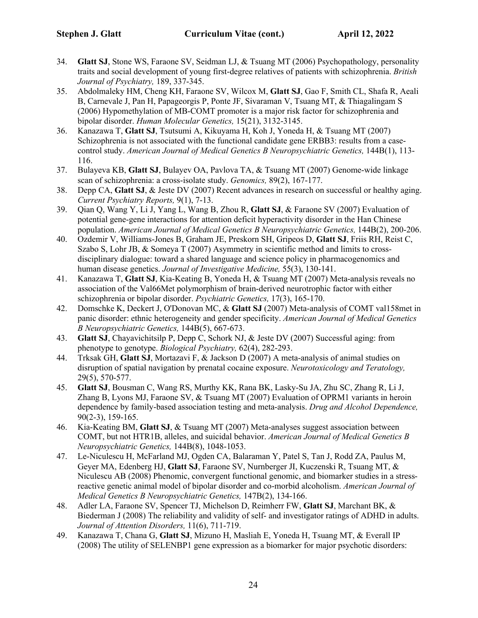- 34. **Glatt SJ**, Stone WS, Faraone SV, Seidman LJ, & Tsuang MT (2006) Psychopathology, personality traits and social development of young first-degree relatives of patients with schizophrenia. *British Journal of Psychiatry,* 189, 337-345.
- 35. Abdolmaleky HM, Cheng KH, Faraone SV, Wilcox M, **Glatt SJ**, Gao F, Smith CL, Shafa R, Aeali B, Carnevale J, Pan H, Papageorgis P, Ponte JF, Sivaraman V, Tsuang MT, & Thiagalingam S (2006) Hypomethylation of MB-COMT promoter is a major risk factor for schizophrenia and bipolar disorder. *Human Molecular Genetics,* 15(21), 3132-3145.
- 36. Kanazawa T, **Glatt SJ**, Tsutsumi A, Kikuyama H, Koh J, Yoneda H, & Tsuang MT (2007) Schizophrenia is not associated with the functional candidate gene ERBB3: results from a casecontrol study. *American Journal of Medical Genetics B Neuropsychiatric Genetics,* 144B(1), 113- 116.
- 37. Bulayeva KB, **Glatt SJ**, Bulayev OA, Pavlova TA, & Tsuang MT (2007) Genome-wide linkage scan of schizophrenia: a cross-isolate study. *Genomics,* 89(2), 167-177.
- 38. Depp CA, **Glatt SJ**, & Jeste DV (2007) Recent advances in research on successful or healthy aging. *Current Psychiatry Reports,* 9(1), 7-13.
- 39. Qian Q, Wang Y, Li J, Yang L, Wang B, Zhou R, **Glatt SJ**, & Faraone SV (2007) Evaluation of potential gene-gene interactions for attention deficit hyperactivity disorder in the Han Chinese population. *American Journal of Medical Genetics B Neuropsychiatric Genetics,* 144B(2), 200-206.
- 40. Ozdemir V, Williams-Jones B, Graham JE, Preskorn SH, Gripeos D, **Glatt SJ**, Friis RH, Reist C, Szabo S, Lohr JB, & Someya T (2007) Asymmetry in scientific method and limits to crossdisciplinary dialogue: toward a shared language and science policy in pharmacogenomics and human disease genetics. *Journal of Investigative Medicine,* 55(3), 130-141.
- 41. Kanazawa T, **Glatt SJ**, Kia-Keating B, Yoneda H, & Tsuang MT (2007) Meta-analysis reveals no association of the Val66Met polymorphism of brain-derived neurotrophic factor with either schizophrenia or bipolar disorder. *Psychiatric Genetics,* 17(3), 165-170.
- 42. Domschke K, Deckert J, O'Donovan MC, & **Glatt SJ** (2007) Meta-analysis of COMT val158met in panic disorder: ethnic heterogeneity and gender specificity. *American Journal of Medical Genetics B Neuropsychiatric Genetics,* 144B(5), 667-673.
- 43. **Glatt SJ**, Chayavichitsilp P, Depp C, Schork NJ, & Jeste DV (2007) Successful aging: from phenotype to genotype. *Biological Psychiatry,* 62(4), 282-293.
- 44. Trksak GH, **Glatt SJ**, Mortazavi F, & Jackson D (2007) A meta-analysis of animal studies on disruption of spatial navigation by prenatal cocaine exposure. *Neurotoxicology and Teratology,*  29(5), 570-577.
- 45. **Glatt SJ**, Bousman C, Wang RS, Murthy KK, Rana BK, Lasky-Su JA, Zhu SC, Zhang R, Li J, Zhang B, Lyons MJ, Faraone SV, & Tsuang MT (2007) Evaluation of OPRM1 variants in heroin dependence by family-based association testing and meta-analysis. *Drug and Alcohol Dependence,*  90(2-3), 159-165.
- 46. Kia-Keating BM, **Glatt SJ**, & Tsuang MT (2007) Meta-analyses suggest association between COMT, but not HTR1B, alleles, and suicidal behavior. *American Journal of Medical Genetics B Neuropsychiatric Genetics,* 144B(8), 1048-1053.
- 47. Le-Niculescu H, McFarland MJ, Ogden CA, Balaraman Y, Patel S, Tan J, Rodd ZA, Paulus M, Geyer MA, Edenberg HJ, **Glatt SJ**, Faraone SV, Nurnberger JI, Kuczenski R, Tsuang MT, & Niculescu AB (2008) Phenomic, convergent functional genomic, and biomarker studies in a stressreactive genetic animal model of bipolar disorder and co-morbid alcoholism. *American Journal of Medical Genetics B Neuropsychiatric Genetics,* 147B(2), 134-166.
- 48. Adler LA, Faraone SV, Spencer TJ, Michelson D, Reimherr FW, **Glatt SJ**, Marchant BK, & Biederman J (2008) The reliability and validity of self- and investigator ratings of ADHD in adults. *Journal of Attention Disorders,* 11(6), 711-719.
- 49. Kanazawa T, Chana G, **Glatt SJ**, Mizuno H, Masliah E, Yoneda H, Tsuang MT, & Everall IP (2008) The utility of SELENBP1 gene expression as a biomarker for major psychotic disorders: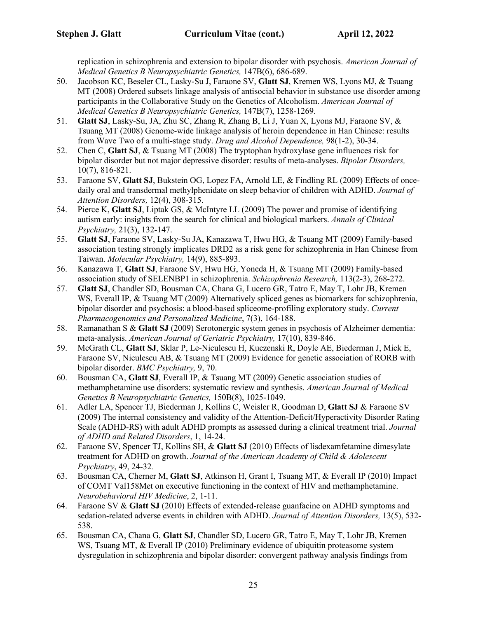replication in schizophrenia and extension to bipolar disorder with psychosis. *American Journal of Medical Genetics B Neuropsychiatric Genetics,* 147B(6), 686-689.

- 50. Jacobson KC, Beseler CL, Lasky-Su J, Faraone SV, **Glatt SJ**, Kremen WS, Lyons MJ, & Tsuang MT (2008) Ordered subsets linkage analysis of antisocial behavior in substance use disorder among participants in the Collaborative Study on the Genetics of Alcoholism. *American Journal of Medical Genetics B Neuropsychiatric Genetics,* 147B(7), 1258-1269.
- 51. **Glatt SJ**, Lasky-Su, JA, Zhu SC, Zhang R, Zhang B, Li J, Yuan X, Lyons MJ, Faraone SV, & Tsuang MT (2008) Genome-wide linkage analysis of heroin dependence in Han Chinese: results from Wave Two of a multi-stage study. *Drug and Alcohol Dependence,* 98(1-2), 30-34.
- 52. Chen C, **Glatt SJ**, & Tsuang MT (2008) The tryptophan hydroxylase gene influences risk for bipolar disorder but not major depressive disorder: results of meta-analyses. *Bipolar Disorders,*  10(7), 816-821.
- 53. Faraone SV, **Glatt SJ**, Bukstein OG, Lopez FA, Arnold LE, & Findling RL (2009) Effects of oncedaily oral and transdermal methylphenidate on sleep behavior of children with ADHD. *Journal of Attention Disorders,* 12(4), 308-315.
- 54. Pierce K, **Glatt SJ**, Liptak GS, & McIntyre LL (2009) The power and promise of identifying autism early: insights from the search for clinical and biological markers. *Annals of Clinical Psychiatry,* 21(3), 132-147.
- 55. **Glatt SJ**, Faraone SV, Lasky-Su JA, Kanazawa T, Hwu HG, & Tsuang MT (2009) Family-based association testing strongly implicates DRD2 as a risk gene for schizophrenia in Han Chinese from Taiwan. *Molecular Psychiatry,* 14(9), 885-893.
- 56. Kanazawa T, **Glatt SJ**, Faraone SV, Hwu HG, Yoneda H, & Tsuang MT (2009) Family-based association study of SELENBP1 in schizophrenia. *Schizophrenia Research,* 113(2-3), 268-272.
- 57. **Glatt SJ**, Chandler SD, Bousman CA, Chana G, Lucero GR, Tatro E, May T, Lohr JB, Kremen WS, Everall IP, & Tsuang MT (2009) Alternatively spliced genes as biomarkers for schizophrenia, bipolar disorder and psychosis: a blood-based spliceome-profiling exploratory study. *Current Pharmacogenomics and Personalized Medicine*, 7(3), 164-188.
- 58. Ramanathan S & **Glatt SJ** (2009) Serotonergic system genes in psychosis of Alzheimer dementia: meta-analysis. *American Journal of Geriatric Psychiatry,* 17(10), 839-846.
- 59. McGrath CL, **Glatt SJ**, Sklar P, Le-Niculescu H, Kuczenski R, Doyle AE, Biederman J, Mick E, Faraone SV, Niculescu AB, & Tsuang MT (2009) Evidence for genetic association of RORB with bipolar disorder. *BMC Psychiatry,* 9, 70.
- 60. Bousman CA, **Glatt SJ**, Everall IP, & Tsuang MT (2009) Genetic association studies of methamphetamine use disorders: systematic review and synthesis. *American Journal of Medical Genetics B Neuropsychiatric Genetics,* 150B(8), 1025-1049.
- 61. Adler LA, Spencer TJ, Biederman J, Kollins C, Weisler R, Goodman D, **Glatt SJ** & Faraone SV (2009) The internal consistency and validity of the Attention-Deficit/Hyperactivity Disorder Rating Scale (ADHD-RS) with adult ADHD prompts as assessed during a clinical treatment trial. *Journal of ADHD and Related Disorders*, 1, 14-24.
- 62. Faraone SV, Spencer TJ, Kollins SH, & **Glatt SJ** (2010) Effects of lisdexamfetamine dimesylate treatment for ADHD on growth. *Journal of the American Academy of Child & Adolescent Psychiatry*, 49, 24-32*.*
- 63. Bousman CA, Cherner M, **Glatt SJ**, Atkinson H, Grant I, Tsuang MT, & Everall IP (2010) Impact of COMT Val158Met on executive functioning in the context of HIV and methamphetamine. *Neurobehavioral HIV Medicine*, 2, 1-11.
- 64. Faraone SV & **Glatt SJ** (2010) Effects of extended-release guanfacine on ADHD symptoms and sedation-related adverse events in children with ADHD. *Journal of Attention Disorders,* 13(5), 532- 538.
- 65. Bousman CA, Chana G, **Glatt SJ**, Chandler SD, Lucero GR, Tatro E, May T, Lohr JB, Kremen WS, Tsuang MT, & Everall IP (2010) Preliminary evidence of ubiquitin proteasome system dysregulation in schizophrenia and bipolar disorder: convergent pathway analysis findings from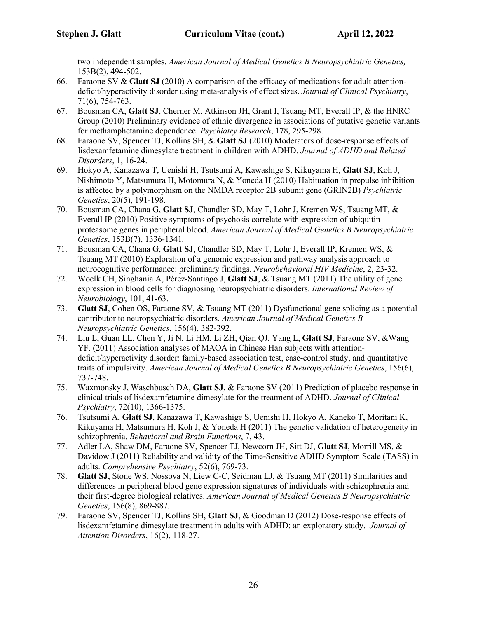two independent samples. *American Journal of Medical Genetics B Neuropsychiatric Genetics,*  153B(2), 494-502.

- 66. Faraone SV & **Glatt SJ** (2010) A comparison of the efficacy of medications for adult attentiondeficit/hyperactivity disorder using meta-analysis of effect sizes. *Journal of Clinical Psychiatry*, 71(6), 754-763.
- 67. Bousman CA, **Glatt SJ**, Cherner M, Atkinson JH, Grant I, Tsuang MT, Everall IP, & the HNRC Group (2010) Preliminary evidence of ethnic divergence in associations of putative genetic variants for methamphetamine dependence. *Psychiatry Research*, 178, 295-298.
- 68. Faraone SV, Spencer TJ, Kollins SH, & **Glatt SJ** (2010) Moderators of dose-response effects of lisdexamfetamine dimesylate treatment in children with ADHD. *Journal of ADHD and Related Disorders*, 1, 16-24.
- 69. Hokyo A, Kanazawa T, Uenishi H, Tsutsumi A, Kawashige S, Kikuyama H, **Glatt SJ**, Koh J, Nishimoto Y, Matsumura H, Motomura N, & Yoneda H (2010) Habituation in prepulse inhibition is affected by a polymorphism on the NMDA receptor 2B subunit gene (GRIN2B) *Psychiatric Genetics*, 20(5), 191-198.
- 70. Bousman CA, Chana G, **Glatt SJ**, Chandler SD, May T, Lohr J, Kremen WS, Tsuang MT, & Everall IP (2010) Positive symptoms of psychosis correlate with expression of ubiquitin proteasome genes in peripheral blood. *American Journal of Medical Genetics B Neuropsychiatric Genetics*, 153B(7), 1336-1341*.*
- 71. Bousman CA, Chana G, **Glatt SJ**, Chandler SD, May T, Lohr J, Everall IP, Kremen WS, & Tsuang MT (2010) Exploration of a genomic expression and pathway analysis approach to neurocognitive performance: preliminary findings. *Neurobehavioral HIV Medicine*, 2, 23-32.
- 72. Woelk CH, Singhania A, Pérez-Santiago J, **Glatt SJ**, & Tsuang MT (2011) The utility of gene expression in blood cells for diagnosing neuropsychiatric disorders. *International Review of Neurobiology*, 101, 41-63.
- 73. **Glatt SJ**, Cohen OS, Faraone SV, & Tsuang MT (2011) Dysfunctional gene splicing as a potential contributor to neuropsychiatric disorders. *American Journal of Medical Genetics B Neuropsychiatric Genetics*, 156(4), 382-392.
- 74. Liu L, Guan LL, Chen Y, Ji N, Li HM, Li ZH, Qian QJ, Yang L, **Glatt SJ**, Faraone SV, &Wang YF. (2011) Association analyses of MAOA in Chinese Han subjects with attentiondeficit/hyperactivity disorder: family-based association test, case-control study, and quantitative traits of impulsivity. *American Journal of Medical Genetics B Neuropsychiatric Genetics*, 156(6), 737-748.
- 75. Waxmonsky J, Waschbusch DA, **Glatt SJ**, & Faraone SV (2011) Prediction of placebo response in clinical trials of lisdexamfetamine dimesylate for the treatment of ADHD. *Journal of Clinical Psychiatry*, 72(10), 1366-1375.
- 76. Tsutsumi A, **Glatt SJ**, Kanazawa T, Kawashige S, Uenishi H, Hokyo A, Kaneko T, Moritani K, Kikuyama H, Matsumura H, Koh J, & Yoneda H (2011) The genetic validation of heterogeneity in schizophrenia. *Behavioral and Brain Functions*, 7, 43.
- 77. Adler LA, Shaw DM, Faraone SV, Spencer TJ, Newcorn JH, Sitt DJ, **Glatt SJ**, Morrill MS, & Davidow J (2011) Reliability and validity of the Time-Sensitive ADHD Symptom Scale (TASS) in adults. *Comprehensive Psychiatry*, 52(6), 769-73.
- 78. **Glatt SJ**, Stone WS, Nossova N, Liew C-C, Seidman LJ, & Tsuang MT (2011) Similarities and differences in peripheral blood gene expression signatures of individuals with schizophrenia and their first-degree biological relatives. *American Journal of Medical Genetics B Neuropsychiatric Genetics*, 156(8), 869-887*.*
- 79. Faraone SV, Spencer TJ, Kollins SH, **Glatt SJ**, & Goodman D (2012) Dose-response effects of lisdexamfetamine dimesylate treatment in adults with ADHD: an exploratory study. *Journal of Attention Disorders*, 16(2), 118-27.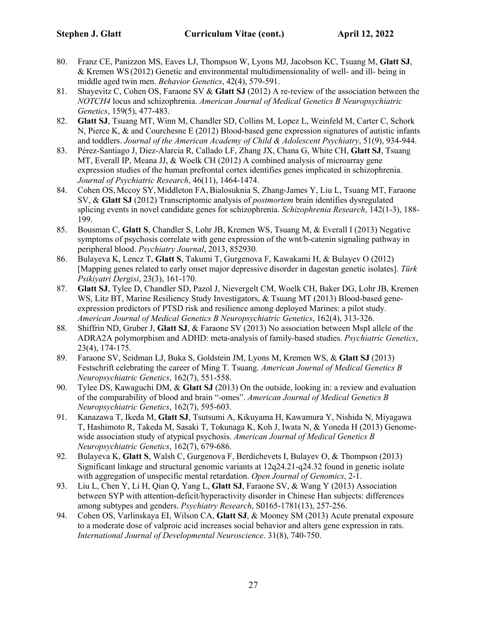- 80. Franz CE, Panizzon MS, Eaves LJ, Thompson W, Lyons MJ, Jacobson KC, Tsuang M, **Glatt SJ**, & Kremen WS (2012) Genetic and environmental multidimensionality of well- and ill- being in middle aged twin men. *Behavior Genetics*, 42(4), 579-591.
- 81. Shayevitz C, Cohen OS, Faraone SV & **Glatt SJ** (2012) A re-review of the association between the *NOTCH4* locus and schizophrenia. *American Journal of Medical Genetics B Neuropsychiatric Genetics*, 159(5), 477-483.
- 82. **Glatt SJ**, Tsuang MT, Winn M, Chandler SD, Collins M, Lopez L, Weinfeld M, Carter C, Schork N, Pierce K, & and Courchesne E (2012) Blood-based gene expression signatures of autistic infants and toddlers. *Journal of the American Academy of Child & Adolescent Psychiatry*, 51(9), 934-944.
- 83. Pérez-Santiago J, Diez-Alarcia R, Callado LF, Zhang JX, Chana G, White CH, **Glatt SJ**, Tsuang MT, Everall IP, Meana JJ, & Woelk CH (2012) A combined analysis of microarray gene expression studies of the human prefrontal cortex identifies genes implicated in schizophrenia. *Journal of Psychiatric Research*, 46(11), 1464-1474.
- 84. Cohen OS, Mccoy SY, Middleton FA,Bialosuknia S, Zhang-James Y, Liu L, Tsuang MT, Faraone SV, & **Glatt SJ** (2012) Transcriptomic analysis of *postmortem* brain identifies dysregulated splicing events in novel candidate genes for schizophrenia. *Schizophrenia Research*, 142(1-3), 188- 199.
- 85. Bousman C, **Glatt S**, Chandler S, Lohr JB, Kremen WS, Tsuang M, & Everall I (2013) Negative symptoms of psychosis correlate with gene expression of the wnt/b-catenin signaling pathway in peripheral blood. *Psychiatry Journal*, 2013, 852930*.*
- 86. Bulayeva K, Lencz T, **Glatt S**, Takumi T, Gurgenova F, Kawakami H, & Bulayev O (2012) [Mapping genes related to early onset major depressive disorder in dagestan genetic isolates]. *Türk Psikiyatri Dergisi*, 23(3), 161-170.
- 87. **Glatt SJ**, Tylee D, Chandler SD, Pazol J, Nievergelt CM, Woelk CH, Baker DG, Lohr JB, Kremen WS, Litz BT, Marine Resiliency Study Investigators, & Tsuang MT (2013) Blood-based geneexpression predictors of PTSD risk and resilience among deployed Marines: a pilot study. *American Journal of Medical Genetics B Neuropsychiatric Genetics*, 162(4), 313-326.
- 88. Shiffrin ND, Gruber J, **Glatt SJ**, & Faraone SV (2013) No association between MspI allele of the ADRA2A polymorphism and ADHD: meta-analysis of family-based studies. *Psychiatric Genetics*, 23(4), 174-175.
- 89. Faraone SV, Seidman LJ, Buka S, Goldstein JM, Lyons M, Kremen WS, & **Glatt SJ** (2013) Festschrift celebrating the career of Ming T. Tsuang. *American Journal of Medical Genetics B Neuropsychiatric Genetics*, 162(7), 551-558.
- 90. Tylee DS, Kawaguchi DM, & **Glatt SJ** (2013) On the outside, looking in: a review and evaluation of the comparability of blood and brain "-omes". *American Journal of Medical Genetics B Neuropsychiatric Genetics*, 162(7), 595-603.
- 91. Kanazawa T, Ikeda M, **Glatt SJ**, Tsutsumi A, Kikuyama H, Kawamura Y, Nishida N, Miyagawa T, Hashimoto R, Takeda M, Sasaki T, Tokunaga K, Koh J, Iwata N, & Yoneda H (2013) Genomewide association study of atypical psychosis. *American Journal of Medical Genetics B Neuropsychiatric Genetics*, 162(7), 679-686.
- 92. Bulayeva K, **Glatt S**, Walsh C, Gurgenova F, Berdichevets I, Bulayev O, & Thompson (2013) Significant linkage and structural genomic variants at 12q24.21-q24.32 found in genetic isolate with aggregation of unspecific mental retardation. *Open Journal of Genomics*, 2-1.
- 93. Liu L, Chen Y, Li H, Qian Q, Yang L, **Glatt SJ**, Faraone SV, & Wang Y (2013) Association between SYP with attention-deficit/hyperactivity disorder in Chinese Han subjects: differences among subtypes and genders. *Psychiatry Research*, S0165-1781(13), 257-256.
- 94. Cohen OS, Varlinskaya EI, Wilson CA, **Glatt SJ**, & Mooney SM (2013) Acute prenatal exposure to a moderate dose of valproic acid increases social behavior and alters gene expression in rats. *International Journal of Developmental Neuroscience*. 31(8), 740-750.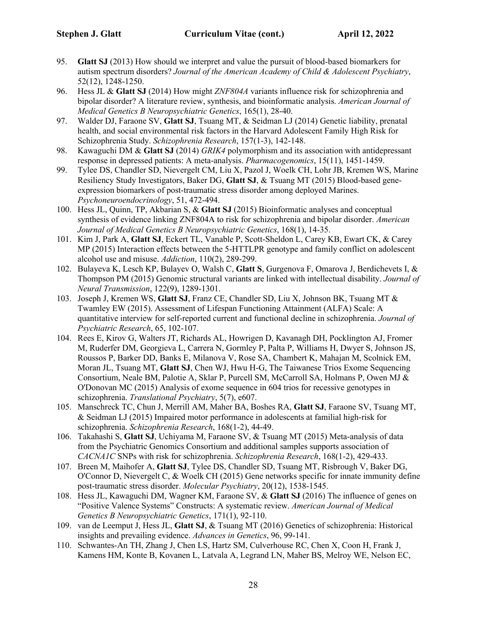- 95. **Glatt SJ** (2013) How should we interpret and value the pursuit of blood-based biomarkers for autism spectrum disorders? *Journal of the American Academy of Child & Adolescent Psychiatry*, 52(12), 1248-1250.
- 96. Hess JL & **Glatt SJ** (2014) How might *ZNF804A* variants influence risk for schizophrenia and bipolar disorder? A literature review, synthesis, and bioinformatic analysis. *American Journal of Medical Genetics B Neuropsychiatric Genetics*, 165(1), 28-40.
- 97. Walder DJ, Faraone SV, **Glatt SJ**, Tsuang MT, & Seidman LJ (2014) Genetic liability, prenatal health, and social environmental risk factors in the Harvard Adolescent Family High Risk for Schizophrenia Study. *Schizophrenia Research*, 157(1-3), 142-148.
- 98. Kawaguchi DM & **Glatt SJ** (2014) *GRIK4* polymorphism and its association with antidepressant response in depressed patients: A meta-analysis. *Pharmacogenomics*, 15(11), 1451-1459.
- 99. Tylee DS, Chandler SD, Nievergelt CM, Liu X, Pazol J, Woelk CH, Lohr JB, Kremen WS, Marine Resiliency Study Investigators, Baker DG, **Glatt SJ**, & Tsuang MT (2015) Blood-based geneexpression biomarkers of post-traumatic stress disorder among deployed Marines. *Psychoneuroendocrinology*, 51, 472-494.
- 100. Hess JL, Quinn, TP, Akbarian S, & **Glatt SJ** (2015) Bioinformatic analyses and conceptual synthesis of evidence linking ZNF804A to risk for schizophrenia and bipolar disorder. *American Journal of Medical Genetics B Neuropsychiatric Genetics*, 168(1), 14-35.
- 101. Kim J, Park A, **Glatt SJ**, Eckert TL, Vanable P, Scott-Sheldon L, Carey KB, Ewart CK, & Carey MP (2015) Interaction effects between the 5-HTTLPR genotype and family conflict on adolescent alcohol use and misuse. *Addiction*, 110(2), 289-299.
- 102. Bulayeva K, Lesch KP, Bulayev O, Walsh C, **Glatt S**, Gurgenova F, Omarova J, Berdichevets I, & Thompson PM (2015) Genomic structural variants are linked with intellectual disability. *Journal of Neural Transmission*, 122(9), 1289-1301.
- 103. Joseph J, Kremen WS, **Glatt SJ**, Franz CE, Chandler SD, Liu X, Johnson BK, Tsuang MT & Twamley EW (2015). Assessment of Lifespan Functioning Attainment (ALFA) Scale: A quantitative interview for self-reported current and functional decline in schizophrenia. *Journal of Psychiatric Research*, 65, 102-107.
- 104. Rees E, Kirov G, Walters JT, Richards AL, Howrigen D, Kavanagh DH, Pocklington AJ, Fromer M, Ruderfer DM, Georgieva L, Carrera N, Gormley P, Palta P, Williams H, Dwyer S, Johnson JS, Roussos P, Barker DD, Banks E, Milanova V, Rose SA, Chambert K, Mahajan M, Scolnick EM, Moran JL, Tsuang MT, **Glatt SJ**, Chen WJ, Hwu H-G, The Taiwanese Trios Exome Sequencing Consortium, Neale BM, Palotie A, Sklar P, Purcell SM, McCarroll SA, Holmans P, Owen MJ & O'Donovan MC (2015) Analysis of exome sequence in 604 trios for recessive genotypes in schizophrenia. *Translational Psychiatry*, 5(7), e607.
- 105. Manschreck TC, Chun J, Merrill AM, Maher BA, Boshes RA, **Glatt SJ**, Faraone SV, Tsuang MT, & Seidman LJ (2015) Impaired motor performance in adolescents at familial high-risk for schizophrenia. *Schizophrenia Research*, 168(1-2), 44-49.
- 106. Takahashi S, **Glatt SJ**, Uchiyama M, Faraone SV, & Tsuang MT (2015) Meta-analysis of data from the Psychiatric Genomics Consortium and additional samples supports association of *CACNA1C* SNPs with risk for schizophrenia. *Schizophrenia Research*, 168(1-2), 429-433.
- 107. Breen M, Maihofer A, **Glatt SJ**, Tylee DS, Chandler SD, Tsuang MT, Risbrough V, Baker DG, O'Connor D, Nievergelt C, & Woelk CH (2015) Gene networks specific for innate immunity define post-traumatic stress disorder. *Molecular Psychiatry*, 20(12), 1538-1545.
- 108. Hess JL, Kawaguchi DM, Wagner KM, Faraone SV, & **Glatt SJ** (2016) The influence of genes on "Positive Valence Systems" Constructs: A systematic review. *American Journal of Medical Genetics B Neuropsychiatric Genetics*, 171(1), 92-110.
- 109. van de Leemput J, Hess JL, **Glatt SJ**, & Tsuang MT (2016) Genetics of schizophrenia: Historical insights and prevailing evidence. *Advances in Genetics*, 96, 99-141.
- 110. Schwantes-An TH, Zhang J, Chen LS, Hartz SM, Culverhouse RC, Chen X, Coon H, Frank J, Kamens HM, Konte B, Kovanen L, Latvala A, Legrand LN, Maher BS, Melroy WE, Nelson EC,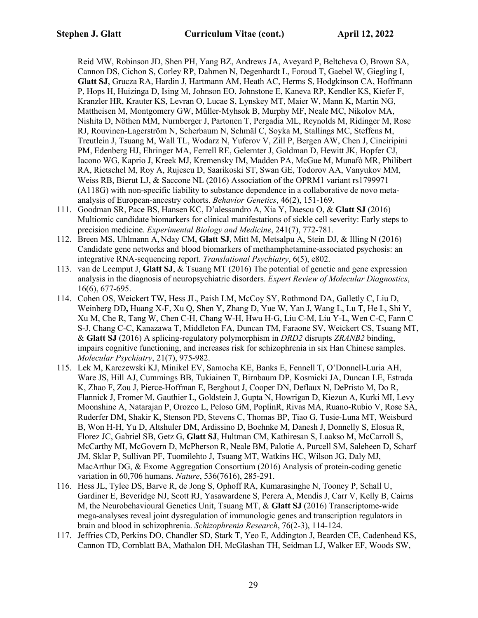Reid MW, Robinson JD, Shen PH, Yang BZ, Andrews JA, Aveyard P, Beltcheva O, Brown SA, Cannon DS, Cichon S, Corley RP, Dahmen N, Degenhardt L, Foroud T, Gaebel W, Giegling I, **Glatt SJ**, Grucza RA, Hardin J, Hartmann AM, Heath AC, Herms S, Hodgkinson CA, Hoffmann P, Hops H, Huizinga D, Ising M, Johnson EO, Johnstone E, Kaneva RP, Kendler KS, Kiefer F, Kranzler HR, Krauter KS, Levran O, Lucae S, Lynskey MT, Maier W, Mann K, Martin NG, Mattheisen M, Montgomery GW, Müller-Myhsok B, Murphy MF, Neale MC, Nikolov MA, Nishita D, Nöthen MM, Nurnberger J, Partonen T, Pergadia ML, Reynolds M, Ridinger M, Rose RJ, Rouvinen-Lagerström N, Scherbaum N, Schmäl C, Soyka M, Stallings MC, Steffens M, Treutlein J, Tsuang M, Wall TL, Wodarz N, Yuferov V, Zill P, Bergen AW, Chen J, Cinciripini PM, Edenberg HJ, Ehringer MA, Ferrell RE, Gelernter J, Goldman D, Hewitt JK, Hopfer CJ, Iacono WG, Kaprio J, Kreek MJ, Kremensky IM, Madden PA, McGue M, Munafò MR, Philibert RA, Rietschel M, Roy A, Rujescu D, Saarikoski ST, Swan GE, Todorov AA, Vanyukov MM, Weiss RB, Bierut LJ, & Saccone NL (2016) Association of the OPRM1 variant rs1799971 (A118G) with non-specific liability to substance dependence in a collaborative de novo metaanalysis of European-ancestry cohorts. *Behavior Genetics*, 46(2), 151-169.

- 111. Goodman SR, Pace BS, Hansen KC, D'alessandro A, Xia Y, Daescu O, & **Glatt SJ** (2016) Multiomic candidate biomarkers for clinical manifestations of sickle cell severity: Early steps to precision medicine. *Experimental Biology and Medicine*, 241(7), 772-781.
- 112. Breen MS, Uhlmann A, Nday CM, **Glatt SJ**, Mitt M, Metsalpu A, Stein DJ, & Illing N (2016) Candidate gene networks and blood biomarkers of methamphetamine-associated psychosis: an integrative RNA-sequencing report. *Translational Psychiatry*, 6(5), e802.
- 113. van de Leemput J, **Glatt SJ**, & Tsuang MT (2016) The potential of genetic and gene expression analysis in the diagnosis of neuropsychiatric disorders. *Expert Review of Molecular Diagnostics*, 16(6), 677-695.
- 114. Cohen OS, Weickert TW**,** Hess JL, Paish LM, McCoy SY, Rothmond DA, Galletly C, Liu D, Weinberg DD**,** Huang X-F, Xu Q, Shen Y, Zhang D, Yue W, Yan J, Wang L, Lu T, He L, Shi Y, Xu M, Che R, Tang W, Chen C-H, Chang W-H, Hwu H-G, Liu C-M, Liu Y-L, Wen C-C, Fann C S-J, Chang C-C, Kanazawa T, Middleton FA, Duncan TM, Faraone SV, Weickert CS, Tsuang MT, & **Glatt SJ** (2016) A splicing-regulatory polymorphism in *DRD2* disrupts *ZRANB2* binding, impairs cognitive functioning, and increases risk for schizophrenia in six Han Chinese samples. *Molecular Psychiatry*, 21(7), 975-982.
- 115. Lek M, Karczewski KJ, Minikel EV, Samocha KE, Banks E, Fennell T, O'Donnell-Luria AH, Ware JS, Hill AJ, Cummings BB, Tukiainen T, Birnbaum DP, Kosmicki JA, Duncan LE, Estrada K, Zhao F, Zou J, Pierce-Hoffman E, Berghout J, Cooper DN, Deflaux N, DePristo M, Do R, Flannick J, Fromer M, Gauthier L, Goldstein J, Gupta N, Howrigan D, Kiezun A, Kurki MI, Levy Moonshine A, Natarajan P, Orozco L, Peloso GM, PoplinR, Rivas MA, Ruano-Rubio V, Rose SA, Ruderfer DM, Shakir K, Stenson PD, Stevens C, Thomas BP, Tiao G, Tusie-Luna MT, Weisburd B, Won H-H, Yu D, Altshuler DM, Ardissino D, Boehnke M, Danesh J, Donnelly S, Elosua R, Florez JC, Gabriel SB, Getz G, **Glatt SJ**, Hultman CM, Kathiresan S, Laakso M, McCarroll S, McCarthy MI, McGovern D, McPherson R, Neale BM, Palotie A, Purcell SM, Saleheen D, Scharf JM, Sklar P, Sullivan PF, Tuomilehto J, Tsuang MT, Watkins HC, Wilson JG, Daly MJ, MacArthur DG, & Exome Aggregation Consortium (2016) Analysis of protein-coding genetic variation in 60,706 humans. *Nature*, 536(7616), 285-291.
- 116. Hess JL, Tylee DS, Barve R, de Jong S, Ophoff RA, Kumarasinghe N, Tooney P, Schall U, Gardiner E, Beveridge NJ, Scott RJ, Yasawardene S, Perera A, Mendis J, Carr V, Kelly B, Cairns M, the Neurobehavioural Genetics Unit, Tsuang MT, & **Glatt SJ** (2016) Transcriptome-wide mega-analyses reveal joint dysregulation of immunologic genes and transcription regulators in brain and blood in schizophrenia. *Schizophrenia Research*, 76(2-3), 114-124.
- 117. Jeffries CD, Perkins DO, Chandler SD, Stark T, Yeo E, Addington J, Bearden CE, Cadenhead KS, Cannon TD, Cornblatt BA, Mathalon DH, McGlashan TH, Seidman LJ, Walker EF, Woods SW,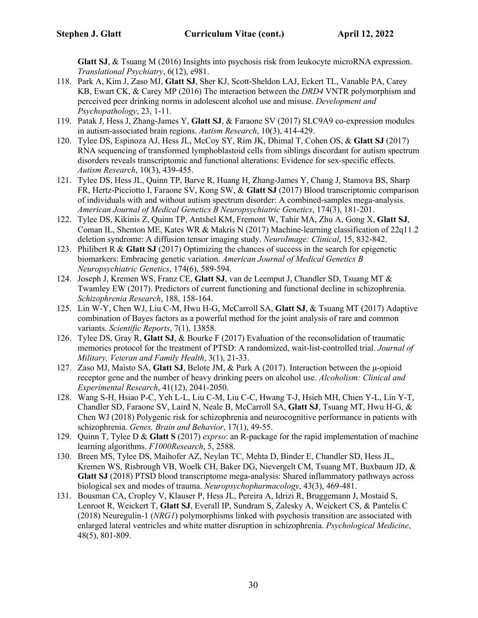**Glatt SJ**, & Tsuang M (2016) Insights into psychosis risk from leukocyte microRNA expression. *Translational Psychiatry*, 6(12), e981.

- 118. Park A, Kim J, Zaso MJ, **Glatt SJ**, Sher KJ, Scott-Sheldon LAJ, Eckert TL, Vanable PA, Carey KB, Ewart CK, & Carey MP (2016) The interaction between the *DRD4* VNTR polymorphism and perceived peer drinking norms in adolescent alcohol use and misuse. *Development and Psychopathology*, 23, 1-11.
- 119. Patak J, Hess J, Zhang-James Y, **Glatt SJ**, & Faraone SV (2017) SLC9A9 co-expression modules in autism-associated brain regions. *Autism Research*, 10(3), 414-429.
- 120. Tylee DS, Espinoza AJ, Hess JL, McCoy SY, Rim JK, Dhimal T, Cohen OS, & **Glatt SJ** (2017) RNA sequencing of transformed lymphoblastoid cells from siblings discordant for autism spectrum disorders reveals transcriptomic and functional alterations: Evidence for sex-specific effects. *Autism Research*, 10(3), 439-455.
- 121. Tylee DS, Hess JL, Quinn TP, Barve R, Huang H, Zhang-James Y, Chang J, Stamova BS, Sharp FR, Hertz-Picciotto I, Faraone SV, Kong SW, & **Glatt SJ** (2017) Blood transcriptomic comparison of individuals with and without autism spectrum disorder: A combined-samples mega-analysis. *American Journal of Medical Genetics B Neuropsychiatric Genetics*, 174(3), 181-201.
- 122. Tylee DS, Kikinis Z, Quinn TP, Antshel KM, Fremont W, Tahir MA, Zhu A, Gong X, **Glatt SJ**, Coman IL, Shenton ME, Kates WR & Makris N (2017) Machine-learning classification of 22q11.2 deletion syndrome: A diffusion tensor imaging study. *NeuroImage: Clinical*, 15, 832-842.
- 123. Philibert R & **Glatt SJ** (2017) Optimizing the chances of success in the search for epigenetic biomarkers: Embracing genetic variation. *American Journal of Medical Genetics B Neuropsychiatric Genetics*, 174(6), 589-594.
- 124. Joseph J, Kremen WS, Franz CE, **Glatt SJ**, van de Leemput J, Chandler SD, Tsuang MT & Twamley EW (2017). Predictors of current functioning and functional decline in schizophrenia. *Schizophrenia Research*, 188, 158-164.
- 125. Lin W-Y, Chen WJ, Liu C-M, Hwu H-G, McCarroll SA, **Glatt SJ**, & Tsuang MT (2017) Adaptive combination of Bayes factors as a powerful method for the joint analysis of rare and common variants. *Scientific Reports*, 7(1), 13858.
- 126. Tylee DS, Gray R, **Glatt SJ**, & Bourke F (2017) Evaluation of the reconsolidation of traumatic memories protocol for the treatment of PTSD: A randomized, wait-list-controlled trial. *Journal of Military, Veteran and Family Health*, 3(1), 21-33.
- 127. Zaso MJ, Maisto SA, **Glatt SJ**, Belote JM, & Park A (2017). Interaction between the μ-opioid receptor gene and the number of heavy drinking peers on alcohol use. *Alcoholism: Clinical and Experimental Research*, 41(12), 2041-2050.
- 128. Wang S-H, Hsiao P-C, Yeh L-L, Liu C-M, Liu C-C, Hwang T-J, Hsieh MH, Chien Y-L, Lin Y-T, Chandler SD, Faraone SV, Laird N, Neale B, McCarroll SA, **Glatt SJ**, Tsuang MT, Hwu H-G, & Chen WJ (2018) Polygenic risk for schizophrenia and neurocognitive performance in patients with schizophrenia. *Genes, Brain and Behavior*, 17(1), 49-55.
- 129. Quinn T, Tylee D & **Glatt S** (2017) *exprso*: an R-package for the rapid implementation of machine learning algorithms. *F1000Research*, 5, 2588.
- 130. Breen MS, Tylee DS, Maihofer AZ, Neylan TC, Mehta D, Binder E, Chandler SD, Hess JL, Kremen WS, Risbrough VB, Woelk CH, Baker DG, Nievergelt CM, Tsuang MT, Buxbaum JD, & **Glatt SJ** (2018) PTSD blood transcriptome mega-analysis: Shared inflammatory pathways across biological sex and modes of trauma. *Neuropsychopharmacology*, 43(3), 469-481.
- 131. Bousman CA, Cropley V, Klauser P, Hess JL, Pereira A, Idrizi R, Bruggemann J, Mostaid S, Lenroot R, Weickert T, **Glatt SJ**, Everall IP, Sundram S, Zalesky A, Weickert CS, & Pantelis C (2018) Neuregulin-1 (*NRG1*) polymorphisms linked with psychosis transition are associated with enlarged lateral ventricles and white matter disruption in schizophrenia. *Psychological Medicine*, 48(5), 801-809.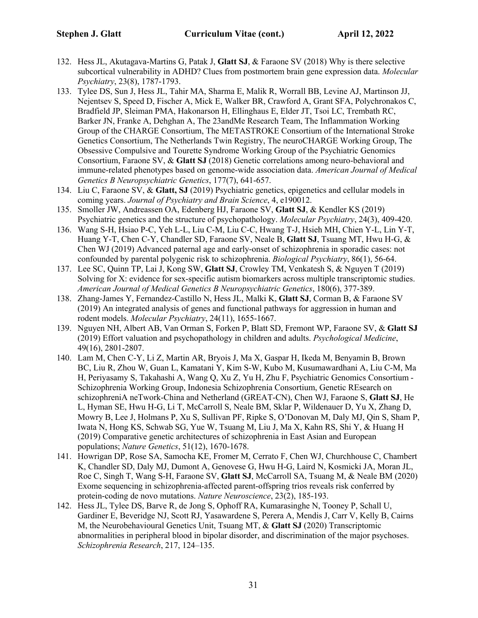- 132. Hess JL, Akutagava-Martins G, Patak J, **Glatt SJ**, & Faraone SV (2018) Why is there selective subcortical vulnerability in ADHD? Clues from postmortem brain gene expression data. *Molecular Psychiatry*, 23(8), 1787-1793.
- 133. Tylee DS, Sun J, Hess JL, Tahir MA, Sharma E, Malik R, Worrall BB, Levine AJ, Martinson JJ, Nejentsev S, Speed D, Fischer A, Mick E, Walker BR, Crawford A, Grant SFA, Polychronakos C, Bradfield JP, Sleiman PMA, Hakonarson H, Ellinghaus E, Elder JT, Tsoi LC, Trembath RC, Barker JN, Franke A, Dehghan A, The 23andMe Research Team, The Inflammation Working Group of the CHARGE Consortium, The METASTROKE Consortium of the International Stroke Genetics Consortium, The Netherlands Twin Registry, The neuroCHARGE Working Group, The Obsessive Compulsive and Tourette Syndrome Working Group of the Psychiatric Genomics Consortium, Faraone SV, & **Glatt SJ** (2018) Genetic correlations among neuro-behavioral and immune-related phenotypes based on genome-wide association data. *American Journal of Medical Genetics B Neuropsychiatric Genetics*, 177(7), 641-657.
- 134. Liu C, Faraone SV, & **Glatt, SJ** (2019) Psychiatric genetics, epigenetics and cellular models in coming years. *Journal of Psychiatry and Brain Science*, 4, e190012.
- 135. Smoller JW, Andreassen OA, Edenberg HJ, Faraone SV, **Glatt SJ**, & Kendler KS (2019) Psychiatric genetics and the structure of psychopathology. *Molecular Psychiatry*, 24(3), 409-420.
- 136. Wang S-H, Hsiao P-C, Yeh L-L, Liu C-M, Liu C-C, Hwang T-J, Hsieh MH, Chien Y-L, Lin Y-T, Huang Y-T, Chen C-Y, Chandler SD, Faraone SV, Neale B, **Glatt SJ**, Tsuang MT, Hwu H-G, & Chen WJ (2019) Advanced paternal age and early-onset of schizophrenia in sporadic cases: not confounded by parental polygenic risk to schizophrenia. *Biological Psychiatry*, 86(1), 56-64.
- 137. Lee SC, Quinn TP, Lai J, Kong SW, **Glatt SJ**, Crowley TM, Venkatesh S, & Nguyen T (2019) Solving for X: evidence for sex-specific autism biomarkers across multiple transcriptomic studies. *American Journal of Medical Genetics B Neuropsychiatric Genetics*, 180(6), 377-389.
- 138. Zhang-James Y, Fernandez-Castillo N, Hess JL, Malki K, **Glatt SJ**, Corman B, & Faraone SV (2019) An integrated analysis of genes and functional pathways for aggression in human and rodent models. *Molecular Psychiatry*, 24(11), 1655-1667.
- 139. Nguyen NH, Albert AB, Van Orman S, Forken P, Blatt SD, Fremont WP, Faraone SV, & **Glatt SJ** (2019) Effort valuation and psychopathology in children and adults. *Psychological Medicine*, 49(16), 2801-2807.
- 140. Lam M, Chen C-Y, Li Z, Martin AR, Bryois J, Ma X, Gaspar H, Ikeda M, Benyamin B, Brown BC, Liu R, Zhou W, Guan L, Kamatani Y, Kim S-W, Kubo M, Kusumawardhani A, Liu C-M, Ma H, Periyasamy S, Takahashi A, Wang Q, Xu Z, Yu H, Zhu F, Psychiatric Genomics Consortium - Schizophrenia Working Group, Indonesia Schizophrenia Consortium, Genetic REsearch on schizophreniA neTwork-China and Netherland (GREAT-CN), Chen WJ, Faraone S, **Glatt SJ**, He L, Hyman SE, Hwu H-G, Li T, McCarroll S, Neale BM, Sklar P, Wildenauer D, Yu X, Zhang D, Mowry B, Lee J, Holmans P, Xu S, Sullivan PF, Ripke S, O'Donovan M, Daly MJ, Qin S, Sham P, Iwata N, Hong KS, Schwab SG, Yue W, Tsuang M, Liu J, Ma X, Kahn RS, Shi Y, & Huang H (2019) Comparative genetic architectures of schizophrenia in East Asian and European populations; *Nature Genetics*, 51(12), 1670-1678.
- 141. Howrigan DP, Rose SA, Samocha KE, Fromer M, Cerrato F, Chen WJ, Churchhouse C, Chambert K, Chandler SD, Daly MJ, Dumont A, Genovese G, Hwu H-G, Laird N, Kosmicki JA, Moran JL, Roe C, Singh T, Wang S-H, Faraone SV, **Glatt SJ**, McCarroll SA, Tsuang M, & Neale BM (2020) Exome sequencing in schizophrenia-affected parent-offspring trios reveals risk conferred by protein-coding de novo mutations. *Nature Neuroscience*, 23(2), 185-193.
- 142. Hess JL, Tylee DS, Barve R, de Jong S, Ophoff RA, Kumarasinghe N, Tooney P, Schall U, Gardiner E, Beveridge NJ, Scott RJ, Yasawardene S, Perera A, Mendis J, Carr V, Kelly B, Cairns M, the Neurobehavioural Genetics Unit, Tsuang MT, & **Glatt SJ** (2020) Transcriptomic abnormalities in peripheral blood in bipolar disorder, and discrimination of the major psychoses. *Schizophrenia Research*, 217, 124–135.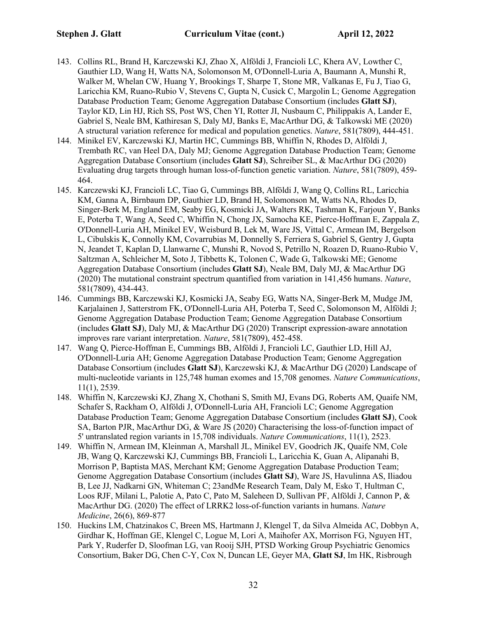- 143. Collins RL, Brand H, Karczewski KJ, Zhao X, Alföldi J, Francioli LC, Khera AV, Lowther C, Gauthier LD, Wang H, Watts NA, Solomonson M, O'Donnell-Luria A, Baumann A, Munshi R, Walker M, Whelan CW, Huang Y, Brookings T, Sharpe T, Stone MR, Valkanas E, Fu J, Tiao G, Laricchia KM, Ruano-Rubio V, Stevens C, Gupta N, Cusick C, Margolin L; Genome Aggregation Database Production Team; Genome Aggregation Database Consortium (includes **Glatt SJ**), Taylor KD, Lin HJ, Rich SS, Post WS, Chen YI, Rotter JI, Nusbaum C, Philippakis A, Lander E, Gabriel S, Neale BM, Kathiresan S, Daly MJ, Banks E, MacArthur DG, & Talkowski ME (2020) A structural variation reference for medical and population genetics. *Nature*, 581(7809), 444-451.
- 144. Minikel EV, Karczewski KJ, Martin HC, Cummings BB, Whiffin N, Rhodes D, Alföldi J, Trembath RC, van Heel DA, Daly MJ; Genome Aggregation Database Production Team; Genome Aggregation Database Consortium (includes **Glatt SJ**), Schreiber SL, & MacArthur DG (2020) Evaluating drug targets through human loss-of-function genetic variation. *Nature*, 581(7809), 459- 464.
- 145. Karczewski KJ, Francioli LC, Tiao G, Cummings BB, Alföldi J, Wang Q, Collins RL, Laricchia KM, Ganna A, Birnbaum DP, Gauthier LD, Brand H, Solomonson M, Watts NA, Rhodes D, Singer-Berk M, England EM, Seaby EG, Kosmicki JA, Walters RK, Tashman K, Farjoun Y, Banks E, Poterba T, Wang A, Seed C, Whiffin N, Chong JX, Samocha KE, Pierce-Hoffman E, Zappala Z, O'Donnell-Luria AH, Minikel EV, Weisburd B, Lek M, Ware JS, Vittal C, Armean IM, Bergelson L, Cibulskis K, Connolly KM, Covarrubias M, Donnelly S, Ferriera S, Gabriel S, Gentry J, Gupta N, Jeandet T, Kaplan D, Llanwarne C, Munshi R, Novod S, Petrillo N, Roazen D, Ruano-Rubio V, Saltzman A, Schleicher M, Soto J, Tibbetts K, Tolonen C, Wade G, Talkowski ME; Genome Aggregation Database Consortium (includes **Glatt SJ**), Neale BM, Daly MJ, & MacArthur DG (2020) The mutational constraint spectrum quantified from variation in 141,456 humans. *Nature*, 581(7809), 434-443.
- 146. Cummings BB, Karczewski KJ, Kosmicki JA, Seaby EG, Watts NA, Singer-Berk M, Mudge JM, Karjalainen J, Satterstrom FK, O'Donnell-Luria AH, Poterba T, Seed C, Solomonson M, Alföldi J; Genome Aggregation Database Production Team; Genome Aggregation Database Consortium (includes **Glatt SJ**), Daly MJ, & MacArthur DG (2020) Transcript expression-aware annotation improves rare variant interpretation. *Nature*, 581(7809), 452-458.
- 147. Wang Q, Pierce-Hoffman E, Cummings BB, Alföldi J, Francioli LC, Gauthier LD, Hill AJ, O'Donnell-Luria AH; Genome Aggregation Database Production Team; Genome Aggregation Database Consortium (includes **Glatt SJ**), Karczewski KJ, & MacArthur DG (2020) Landscape of multi-nucleotide variants in 125,748 human exomes and 15,708 genomes. *Nature Communications*, 11(1), 2539.
- 148. Whiffin N, Karczewski KJ, Zhang X, Chothani S, Smith MJ, Evans DG, Roberts AM, Quaife NM, Schafer S, Rackham O, Alföldi J, O'Donnell-Luria AH, Francioli LC; Genome Aggregation Database Production Team; Genome Aggregation Database Consortium (includes **Glatt SJ**), Cook SA, Barton PJR, MacArthur DG, & Ware JS (2020) Characterising the loss-of-function impact of 5' untranslated region variants in 15,708 individuals. *Nature Communications*, 11(1), 2523.
- 149. Whiffin N, Armean IM, Kleinman A, Marshall JL, Minikel EV, Goodrich JK, Quaife NM, Cole JB, Wang Q, Karczewski KJ, Cummings BB, Francioli L, Laricchia K, Guan A, Alipanahi B, Morrison P, Baptista MAS, Merchant KM; Genome Aggregation Database Production Team; Genome Aggregation Database Consortium (includes **Glatt SJ**), Ware JS, Havulinna AS, Iliadou B, Lee JJ, Nadkarni GN, Whiteman C; 23andMe Research Team, Daly M, Esko T, Hultman C, Loos RJF, Milani L, Palotie A, Pato C, Pato M, Saleheen D, Sullivan PF, Alföldi J, Cannon P, & MacArthur DG. (2020) The effect of LRRK2 loss-of-function variants in humans. *Nature Medicine*, 26(6), 869-877
- 150. Huckins LM, Chatzinakos C, Breen MS, Hartmann J, Klengel T, da Silva Almeida AC, Dobbyn A, Girdhar K, Hoffman GE, Klengel C, Logue M, Lori A, Maihofer AX, Morrison FG, Nguyen HT, Park Y, Ruderfer D, Sloofman LG, van Rooij SJH, PTSD Working Group Psychiatric Genomics Consortium, Baker DG, Chen C-Y, Cox N, Duncan LE, Geyer MA, **Glatt SJ**, Im HK, Risbrough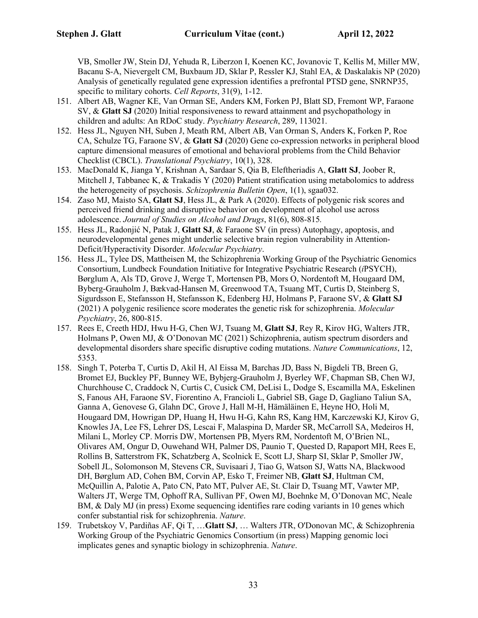VB, Smoller JW, Stein DJ, Yehuda R, Liberzon I, Koenen KC, Jovanovic T, Kellis M, Miller MW, Bacanu S-A, Nievergelt CM, Buxbaum JD, Sklar P, Ressler KJ, Stahl EA, & Daskalakis NP (2020) Analysis of genetically regulated gene expression identifies a prefrontal PTSD gene, SNRNP35, specific to military cohorts. *Cell Reports*, 31(9), 1-12.

- 151. Albert AB, Wagner KE, Van Orman SE, Anders KM, Forken PJ, Blatt SD, Fremont WP, Faraone SV, & **Glatt SJ** (2020) Initial responsiveness to reward attainment and psychopathology in children and adults: An RDoC study. *Psychiatry Research*, 289, 113021.
- 152. Hess JL, Nguyen NH, Suben J, Meath RM, Albert AB, Van Orman S, Anders K, Forken P, Roe CA, Schulze TG, Faraone SV, & **Glatt SJ** (2020) Gene co-expression networks in peripheral blood capture dimensional measures of emotional and behavioral problems from the Child Behavior Checklist (CBCL). *Translational Psychiatry*, 10(1), 328.
- 153. MacDonald K, Jianga Y, Krishnan A, Sardaar S, Qia B, Eleftheriadis A, **Glatt SJ**, Joober R, Mitchell J, Tabbanec K, & Trakadis Y (2020) Patient stratification using metabolomics to address the heterogeneity of psychosis. *Schizophrenia Bulletin Open*, 1(1), sgaa032.
- 154. Zaso MJ, Maisto SA, **Glatt SJ**, Hess JL, & Park A (2020). Effects of polygenic risk scores and perceived friend drinking and disruptive behavior on development of alcohol use across adolescence. *Journal of Studies on Alcohol and Drugs*, 81(6), 808-815*.*
- 155. Hess JL, Radonjić N, Patak J, **Glatt SJ**, & Faraone SV (in press) Autophagy, apoptosis, and neurodevelopmental genes might underlie selective brain region vulnerability in Attention-Deficit/Hyperactivity Disorder. *Molecular Psychiatry*.
- 156. Hess JL, Tylee DS, Mattheisen M, the Schizophrenia Working Group of the Psychiatric Genomics Consortium, Lundbeck Foundation Initiative for Integrative Psychiatric Research (*i*PSYCH), Børglum A, Als TD, Grove J, Werge T, Mortensen PB, Mors O, Nordentoft M, Hougaard DM, Byberg-Grauholm J, Bækvad-Hansen M, Greenwood TA, Tsuang MT, Curtis D, Steinberg S, Sigurdsson E, Stefansson H, Stefansson K, Edenberg HJ, Holmans P, Faraone SV, & **Glatt SJ** (2021) A polygenic resilience score moderates the genetic risk for schizophrenia. *Molecular Psychiatry*, 26, 800-815.
- 157. Rees E, Creeth HDJ, Hwu H-G, Chen WJ, Tsuang M, **Glatt SJ**, Rey R, Kirov HG, Walters JTR, Holmans P, Owen MJ, & O'Donovan MC (2021) Schizophrenia, autism spectrum disorders and developmental disorders share specific disruptive coding mutations. *Nature Communications*, 12, 5353.
- 158. Singh T, Poterba T, Curtis D, Akil H, Al Eissa M, Barchas JD, Bass N, Bigdeli TB, Breen G, Bromet EJ, Buckley PF, Bunney WE, Bybjerg-Grauholm J, Byerley WF, Chapman SB, Chen WJ, Churchhouse C, Craddock N, Curtis C, Cusick CM, DeLisi L, Dodge S, Escamilla MA, Eskelinen S, Fanous AH, Faraone SV, Fiorentino A, Francioli L, Gabriel SB, Gage D, Gagliano Taliun SA, Ganna A, Genovese G, Glahn DC, Grove J, Hall M-H, Hämäläinen E, Heyne HO, Holi M, Hougaard DM, Howrigan DP, Huang H, Hwu H-G, Kahn RS, Kang HM, Karczewski KJ, Kirov G, Knowles JA, Lee FS, Lehrer DS, Lescai F, Malaspina D, Marder SR, McCarroll SA, Medeiros H, Milani L, Morley CP. Morris DW, Mortensen PB, Myers RM, Nordentoft M, O'Brien NL, Olivares AM, Ongur D, Ouwehand WH, Palmer DS, Paunio T, Quested D, Rapaport MH, Rees E, Rollins B, Satterstrom FK, Schatzberg A, Scolnick E, Scott LJ, Sharp SI, Sklar P, Smoller JW, Sobell JL, Solomonson M, Stevens CR, Suvisaari J, Tiao G, Watson SJ, Watts NA, Blackwood DH, Børglum AD, Cohen BM, Corvin AP, Esko T, Freimer NB, **Glatt SJ**, Hultman CM, McQuillin A, Palotie A, Pato CN, Pato MT, Pulver AE, St. Clair D, Tsuang MT, Vawter MP, Walters JT, Werge TM, Ophoff RA, Sullivan PF, Owen MJ, Boehnke M, O'Donovan MC, Neale BM, & Daly MJ (in press) Exome sequencing identifies rare coding variants in 10 genes which confer substantial risk for schizophrenia. *Nature*.
- 159. Trubetskoy V, Pardiñas AF, Qi T, …**Glatt SJ**, … Walters JTR, O'Donovan MC, & Schizophrenia Working Group of the Psychiatric Genomics Consortium (in press) Mapping genomic loci implicates genes and synaptic biology in schizophrenia. *Nature*.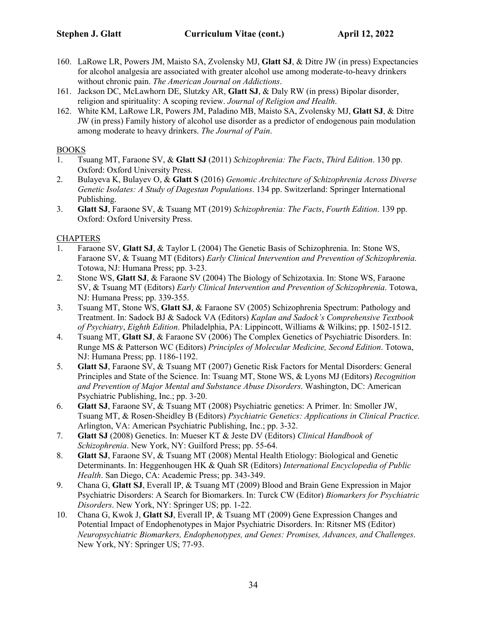- 160. LaRowe LR, Powers JM, Maisto SA, Zvolensky MJ, **Glatt SJ**, & Ditre JW (in press) Expectancies for alcohol analgesia are associated with greater alcohol use among moderate-to-heavy drinkers without chronic pain. *The American Journal on Addictions*.
- 161. Jackson DC, McLawhorn DE, Slutzky AR, **Glatt SJ**, & Daly RW (in press) Bipolar disorder, religion and spirituality: A scoping review. *Journal of Religion and Health*.
- 162. White KM, LaRowe LR, Powers JM, Paladino MB, Maisto SA, Zvolensky MJ, **Glatt SJ**, & Ditre JW (in press) Family history of alcohol use disorder as a predictor of endogenous pain modulation among moderate to heavy drinkers. *The Journal of Pain*.

#### BOOKS

- 1. Tsuang MT, Faraone SV, & **Glatt SJ** (2011) *Schizophrenia: The Facts*, *Third Edition*. 130 pp. Oxford: Oxford University Press.
- 2. Bulayeva K, Bulayev O, & **Glatt S** (2016) *Genomic Architecture of Schizophrenia Across Diverse Genetic Isolates: A Study of Dagestan Populations*. 134 pp. Switzerland: Springer International Publishing.
- 3. **Glatt SJ**, Faraone SV, & Tsuang MT (2019) *Schizophrenia: The Facts*, *Fourth Edition*. 139 pp. Oxford: Oxford University Press.

### **CHAPTERS**

- 1. Faraone SV, **Glatt SJ**, & Taylor L (2004) The Genetic Basis of Schizophrenia. In: Stone WS, Faraone SV, & Tsuang MT (Editors) *Early Clinical Intervention and Prevention of Schizophrenia*. Totowa, NJ: Humana Press; pp. 3-23.
- 2. Stone WS, **Glatt SJ**, & Faraone SV (2004) The Biology of Schizotaxia. In: Stone WS, Faraone SV, & Tsuang MT (Editors) *Early Clinical Intervention and Prevention of Schizophrenia*. Totowa, NJ: Humana Press; pp. 339-355.
- 3. Tsuang MT, Stone WS, **Glatt SJ**, & Faraone SV (2005) Schizophrenia Spectrum: Pathology and Treatment. In: Sadock BJ & Sadock VA (Editors) *Kaplan and Sadock's Comprehensive Textbook of Psychiatry*, *Eighth Edition*. Philadelphia, PA: Lippincott, Williams & Wilkins; pp. 1502-1512.
- 4. Tsuang MT, **Glatt SJ**, & Faraone SV (2006) The Complex Genetics of Psychiatric Disorders. In: Runge MS & Patterson WC (Editors) *Principles of Molecular Medicine, Second Edition*. Totowa, NJ: Humana Press; pp. 1186-1192.
- 5. **Glatt SJ**, Faraone SV, & Tsuang MT (2007) Genetic Risk Factors for Mental Disorders: General Principles and State of the Science. In: Tsuang MT, Stone WS, & Lyons MJ (Editors) *Recognition and Prevention of Major Mental and Substance Abuse Disorders*. Washington, DC: American Psychiatric Publishing, Inc.; pp. 3-20.
- 6. **Glatt SJ**, Faraone SV, & Tsuang MT (2008) Psychiatric genetics: A Primer. In: Smoller JW, Tsuang MT, & Rosen-Sheidley B (Editors) *Psychiatric Genetics: Applications in Clinical Practice*. Arlington, VA: American Psychiatric Publishing, Inc.; pp. 3-32.
- 7. **Glatt SJ** (2008) Genetics. In: Mueser KT & Jeste DV (Editors) *Clinical Handbook of Schizophrenia*. New York, NY: Guilford Press; pp. 55-64.
- 8. **Glatt SJ**, Faraone SV, & Tsuang MT (2008) Mental Health Etiology: Biological and Genetic Determinants. In: Heggenhougen HK & Quah SR (Editors) *International Encyclopedia of Public Health*. San Diego, CA: Academic Press; pp. 343-349.
- 9. Chana G, **Glatt SJ**, Everall IP, & Tsuang MT (2009) Blood and Brain Gene Expression in Major Psychiatric Disorders: A Search for Biomarkers. In: Turck CW (Editor) *Biomarkers for Psychiatric Disorders*. New York, NY: Springer US; pp. 1-22.
- 10. Chana G, Kwok J, **Glatt SJ**, Everall IP, & Tsuang MT (2009) Gene Expression Changes and Potential Impact of Endophenotypes in Major Psychiatric Disorders. In: Ritsner MS (Editor) *Neuropsychiatric Biomarkers, Endophenotypes, and Genes: Promises, Advances, and Challenges*. New York, NY: Springer US; 77-93.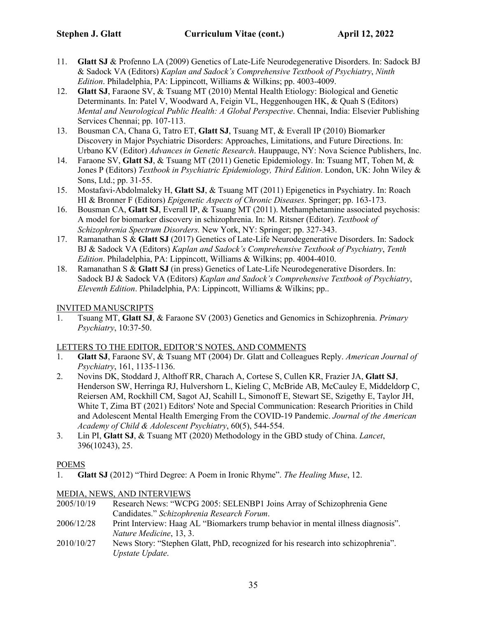- 11. **Glatt SJ** & Profenno LA (2009) Genetics of Late-Life Neurodegenerative Disorders. In: Sadock BJ & Sadock VA (Editors) *Kaplan and Sadock's Comprehensive Textbook of Psychiatry*, *Ninth Edition*. Philadelphia, PA: Lippincott, Williams & Wilkins; pp. 4003-4009.
- 12. **Glatt SJ**, Faraone SV, & Tsuang MT (2010) Mental Health Etiology: Biological and Genetic Determinants. In: Patel V, Woodward A, Feigin VL, Heggenhougen HK, & Quah S (Editors) *Mental and Neurological Public Health: A Global Perspective*. Chennai, India: Elsevier Publishing Services Chennai; pp. 107-113.
- 13. Bousman CA, Chana G, Tatro ET, **Glatt SJ**, Tsuang MT, & Everall IP (2010) Biomarker Discovery in Major Psychiatric Disorders: Approaches, Limitations, and Future Directions. In: Urbano KV (Editor) *Advances in Genetic Research*. Hauppauge, NY: Nova Science Publishers, Inc.
- 14. Faraone SV, **Glatt SJ**, & Tsuang MT (2011) Genetic Epidemiology. In: Tsuang MT, Tohen M, & Jones P (Editors) *Textbook in Psychiatric Epidemiology, Third Edition*. London, UK: John Wiley & Sons, Ltd.; pp. 31-55.
- 15. Mostafavi-Abdolmaleky H, **Glatt SJ**, & Tsuang MT (2011) Epigenetics in Psychiatry. In: Roach HI & Bronner F (Editors) *Epigenetic Aspects of Chronic Diseases*. Springer; pp. 163-173.
- 16. Bousman CA, **Glatt SJ**, Everall IP, & Tsuang MT (2011). Methamphetamine associated psychosis: A model for biomarker discovery in schizophrenia. In: M. Ritsner (Editor). *Textbook of Schizophrenia Spectrum Disorders.* New York, NY: Springer; pp. 327-343.
- 17. Ramanathan S & **Glatt SJ** (2017) Genetics of Late-Life Neurodegenerative Disorders. In: Sadock BJ & Sadock VA (Editors) *Kaplan and Sadock's Comprehensive Textbook of Psychiatry*, *Tenth Edition*. Philadelphia, PA: Lippincott, Williams & Wilkins; pp. 4004-4010.
- 18. Ramanathan S & **Glatt SJ** (in press) Genetics of Late-Life Neurodegenerative Disorders. In: Sadock BJ & Sadock VA (Editors) *Kaplan and Sadock's Comprehensive Textbook of Psychiatry*, *Eleventh Edition*. Philadelphia, PA: Lippincott, Williams & Wilkins; pp..

### INVITED MANUSCRIPTS

1. Tsuang MT, **Glatt SJ**, & Faraone SV (2003) Genetics and Genomics in Schizophrenia. *Primary Psychiatry*, 10:37-50.

#### LETTERS TO THE EDITOR, EDITOR'S NOTES, AND COMMENTS

- 1. **Glatt SJ**, Faraone SV, & Tsuang MT (2004) Dr. Glatt and Colleagues Reply. *American Journal of Psychiatry*, 161, 1135-1136.
- 2. Novins DK, Stoddard J, Althoff RR, Charach A, Cortese S, Cullen KR, Frazier JA, **Glatt SJ**, Henderson SW, Herringa RJ, Hulvershorn L, Kieling C, McBride AB, McCauley E, Middeldorp C, Reiersen AM, Rockhill CM, Sagot AJ, Scahill L, Simonoff E, Stewart SE, Szigethy E, Taylor JH, White T, Zima BT (2021) Editors' Note and Special Communication: Research Priorities in Child and Adolescent Mental Health Emerging From the COVID-19 Pandemic. *Journal of the American Academy of Child & Adolescent Psychiatry*, 60(5), 544-554.
- 3. Lin PI, **Glatt SJ**, & Tsuang MT (2020) Methodology in the GBD study of China. *Lancet*, 396(10243), 25.

### POEMS

1. **Glatt SJ** (2012) "Third Degree: A Poem in Ironic Rhyme". *The Healing Muse*, 12.

### MEDIA, NEWS, AND INTERVIEWS

- 2005/10/19 Research News: "WCPG 2005: SELENBP1 Joins Array of Schizophrenia Gene Candidates." *Schizophrenia Research Forum*.
- 2006/12/28 Print Interview: Haag AL "Biomarkers trump behavior in mental illness diagnosis". *Nature Medicine*, 13, 3.
- 2010/10/27 News Story: "Stephen Glatt, PhD, recognized for his research into schizophrenia". *Upstate Update*.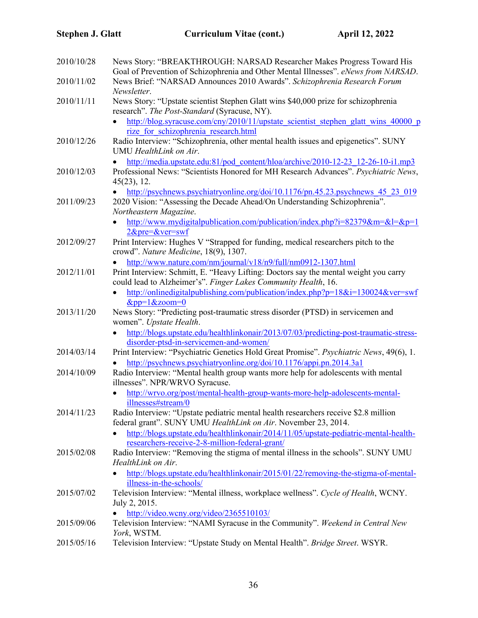| 2010/10/28 | News Story: "BREAKTHROUGH: NARSAD Researcher Makes Progress Toward His<br>Goal of Prevention of Schizophrenia and Other Mental Illnesses". eNews from NARSAD.                                                           |  |  |
|------------|-------------------------------------------------------------------------------------------------------------------------------------------------------------------------------------------------------------------------|--|--|
| 2010/11/02 | News Brief: "NARSAD Announces 2010 Awards". Schizophrenia Research Forum<br>Newsletter.                                                                                                                                 |  |  |
| 2010/11/11 | News Story: "Upstate scientist Stephen Glatt wins \$40,000 prize for schizophrenia<br>research". The Post-Standard (Syracuse, NY).                                                                                      |  |  |
|            | http://blog.syracuse.com/cny/2010/11/upstate scientist stephen glatt wins 40000 p<br>$\bullet$<br>rize for schizophrenia research.html                                                                                  |  |  |
| 2010/12/26 | Radio Interview: "Schizophrenia, other mental health issues and epigenetics". SUNY<br>UMU HealthLink on Air.                                                                                                            |  |  |
| 2010/12/03 | http://media.upstate.edu:81/pod_content/hloa/archive/2010-12-23_12-26-10-i1.mp3<br>$\bullet$<br>Professional News: "Scientists Honored for MH Research Advances". Psychiatric News,<br>45(23), 12.                      |  |  |
| 2011/09/23 | http://psychnews.psychiatryonline.org/doi/10.1176/pn.45.23.psychnews 45 23 019<br>2020 Vision: "Assessing the Decade Ahead/On Understanding Schizophrenia".<br>Northeastern Magazine.                                   |  |  |
|            | http://www.mydigitalpublication.com/publication/index.php?i=82379&m=&l=&p=1<br>$2$ ⪯=&ver=swf                                                                                                                           |  |  |
| 2012/09/27 | Print Interview: Hughes V "Strapped for funding, medical researchers pitch to the<br>crowd". Nature Medicine, 18(9), 1307.                                                                                              |  |  |
| 2012/11/01 | http://www.nature.com/nm/journal/v18/n9/full/nm0912-1307.html<br>Print Interview: Schmitt, E. "Heavy Lifting: Doctors say the mental weight you carry<br>could lead to Alzheimer's". Finger Lakes Community Health, 16. |  |  |
|            | http://onlinedigitalpublishing.com/publication/index.php?p=18&i=130024&ver=swf<br>$\bullet$<br>$&pp=1&zoom=0$                                                                                                           |  |  |
| 2013/11/20 | News Story: "Predicting post-traumatic stress disorder (PTSD) in servicemen and<br>women". Upstate Health.                                                                                                              |  |  |
|            | http://blogs.upstate.edu/healthlinkonair/2013/07/03/predicting-post-traumatic-stress-<br>disorder-ptsd-in-servicemen-and-women/                                                                                         |  |  |
| 2014/03/14 | Print Interview: "Psychiatric Genetics Hold Great Promise". Psychiatric News, 49(6), 1.                                                                                                                                 |  |  |
| 2014/10/09 | http://psychnews.psychiatryonline.org/doi/10.1176/appi.pn.2014.3a1<br>Radio Interview: "Mental health group wants more help for adolescents with mental<br>illnesses". NPR/WRVO Syracuse.                               |  |  |
|            | http://wrvo.org/post/mental-health-group-wants-more-help-adolescents-mental-<br>illnesses#stream/0                                                                                                                      |  |  |
| 2014/11/23 | Radio Interview: "Upstate pediatric mental health researchers receive \$2.8 million<br>federal grant". SUNY UMU HealthLink on Air. November 23, 2014.                                                                   |  |  |
|            | http://blogs.upstate.edu/healthlinkonair/2014/11/05/upstate-pediatric-mental-health-<br>researchers-receive-2-8-million-federal-grant/                                                                                  |  |  |
| 2015/02/08 | Radio Interview: "Removing the stigma of mental illness in the schools". SUNY UMU<br>HealthLink on Air.                                                                                                                 |  |  |
|            | http://blogs.upstate.edu/healthlinkonair/2015/01/22/removing-the-stigma-of-mental-<br>illness-in-the-schools/                                                                                                           |  |  |
| 2015/07/02 | Television Interview: "Mental illness, workplace wellness". Cycle of Health, WCNY.<br>July 2, 2015.                                                                                                                     |  |  |
| 2015/09/06 | http://video.wcny.org/video/2365510103/<br>Television Interview: "NAMI Syracuse in the Community". Weekend in Central New<br>York, WSTM.                                                                                |  |  |
| 2015/05/16 | Television Interview: "Upstate Study on Mental Health". Bridge Street. WSYR.                                                                                                                                            |  |  |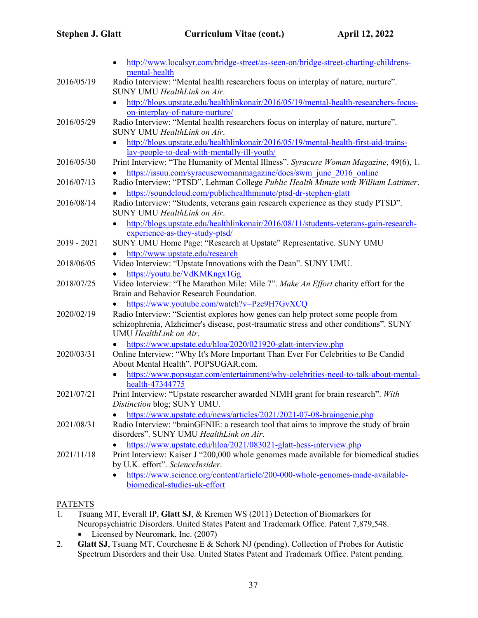|               | http://www.localsyr.com/bridge-street/as-seen-on/bridge-street-charting-childrens-                                                                                                                                                                 |
|---------------|----------------------------------------------------------------------------------------------------------------------------------------------------------------------------------------------------------------------------------------------------|
| 2016/05/19    | mental-health<br>Radio Interview: "Mental health researchers focus on interplay of nature, nurture".<br>SUNY UMU HealthLink on Air.                                                                                                                |
|               | http://blogs.upstate.edu/healthlinkonair/2016/05/19/mental-health-researchers-focus-<br>$\bullet$                                                                                                                                                  |
| 2016/05/29    | on-interplay-of-nature-nurture/<br>Radio Interview: "Mental health researchers focus on interplay of nature, nurture".                                                                                                                             |
|               | SUNY UMU HealthLink on Air.<br>http://blogs.upstate.edu/healthlinkonair/2016/05/19/mental-health-first-aid-trains-                                                                                                                                 |
| 2016/05/30    | lay-people-to-deal-with-mentally-ill-youth/<br>Print Interview: "The Humanity of Mental Illness". Syracuse Woman Magazine, 49(6), 1.                                                                                                               |
| 2016/07/13    | https://issuu.com/syracusewomanmagazine/docs/swm june 2016 online<br>Radio Interview: "PTSD". Lehman College Public Health Minute with William Lattimer.                                                                                           |
| 2016/08/14    | https://soundcloud.com/publichealthminute/ptsd-dr-stephen-glatt<br>Radio Interview: "Students, veterans gain research experience as they study PTSD".                                                                                              |
|               | SUNY UMU HealthLink on Air.<br>http://blogs.upstate.edu/healthlinkonair/2016/08/11/students-veterans-gain-research-<br>$\bullet$                                                                                                                   |
| $2019 - 2021$ | experience-as-they-study-ptsd/<br>SUNY UMU Home Page: "Research at Upstate" Representative. SUNY UMU                                                                                                                                               |
| 2018/06/05    | http://www.upstate.edu/research<br>Video Interview: "Upstate Innovations with the Dean". SUNY UMU.                                                                                                                                                 |
| 2018/07/25    | https://youtu.be/VdKMKngx1Gg<br>Video Interview: "The Marathon Mile: Mile 7". Make An Effort charity effort for the<br>Brain and Behavior Research Foundation.                                                                                     |
| 2020/02/19    | https://www.youtube.com/watch?v=Pzc9H7GvXCQ<br>Radio Interview: "Scientist explores how genes can help protect some people from<br>schizophrenia, Alzheimer's disease, post-traumatic stress and other conditions". SUNY<br>UMU HealthLink on Air. |
| 2020/03/31    | https://www.upstate.edu/hloa/2020/021920-glatt-interview.php<br>Online Interview: "Why It's More Important Than Ever For Celebrities to Be Candid<br>About Mental Health". POPSUGAR.com.                                                           |
| 2021/07/21    | https://www.popsugar.com/entertainment/why-celebrities-need-to-talk-about-mental-<br>health-47344775<br>Print Interview: "Upstate researcher awarded NIMH grant for brain research". With<br>Distinction blog; SUNY UMU.                           |
| 2021/08/31    | https://www.upstate.edu/news/articles/2021/2021-07-08-braingenie.php<br>Radio Interview: "brainGENIE: a research tool that aims to improve the study of brain<br>disorders". SUNY UMU HealthLink on Air.                                           |
| 2021/11/18    | https://www.upstate.edu/hloa/2021/083021-glatt-hess-interview.php<br>Print Interview: Kaiser J "200,000 whole genomes made available for biomedical studies<br>by U.K. effort". ScienceInsider.                                                    |
|               | https://www.science.org/content/article/200-000-whole-genomes-made-available-<br>biomedical-studies-uk-effort                                                                                                                                      |

#### **PATENTS**

- 1. Tsuang MT, Everall IP, **Glatt SJ**, & Kremen WS (2011) Detection of Biomarkers for Neuropsychiatric Disorders. United States Patent and Trademark Office. Patent 7,879,548.
	- Licensed by Neuromark, Inc. (2007)
- 2. **Glatt SJ**, Tsuang MT, Courchesne E & Schork NJ (pending). Collection of Probes for Autistic Spectrum Disorders and their Use. United States Patent and Trademark Office. Patent pending.